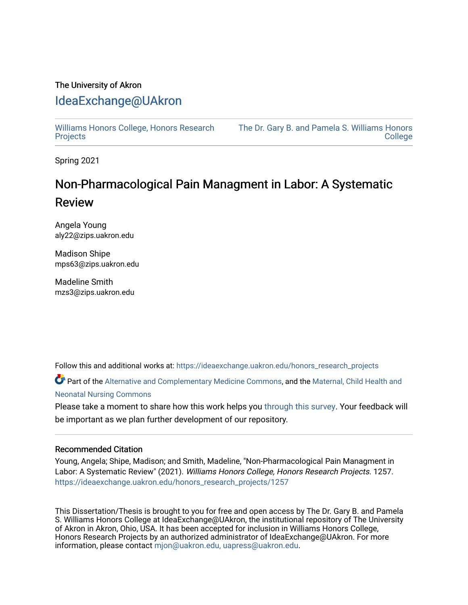# The University of Akron [IdeaExchange@UAkron](https://ideaexchange.uakron.edu/)

[Williams Honors College, Honors Research](https://ideaexchange.uakron.edu/honors_research_projects)  **[Projects](https://ideaexchange.uakron.edu/honors_research_projects)** 

[The Dr. Gary B. and Pamela S. Williams Honors](https://ideaexchange.uakron.edu/honorscollege_ideas)  **College** 

Spring 2021

# Non-Pharmacological Pain Managment in Labor: A Systematic Review

Angela Young aly22@zips.uakron.edu

Madison Shipe mps63@zips.uakron.edu

Madeline Smith mzs3@zips.uakron.edu

Follow this and additional works at: [https://ideaexchange.uakron.edu/honors\\_research\\_projects](https://ideaexchange.uakron.edu/honors_research_projects?utm_source=ideaexchange.uakron.edu%2Fhonors_research_projects%2F1257&utm_medium=PDF&utm_campaign=PDFCoverPages) 

Part of the [Alternative and Complementary Medicine Commons,](http://network.bepress.com/hgg/discipline/649?utm_source=ideaexchange.uakron.edu%2Fhonors_research_projects%2F1257&utm_medium=PDF&utm_campaign=PDFCoverPages) and the Maternal, Child Health and [Neonatal Nursing Commons](http://network.bepress.com/hgg/discipline/721?utm_source=ideaexchange.uakron.edu%2Fhonors_research_projects%2F1257&utm_medium=PDF&utm_campaign=PDFCoverPages) 

Please take a moment to share how this work helps you [through this survey](http://survey.az1.qualtrics.com/SE/?SID=SV_eEVH54oiCbOw05f&URL=https://ideaexchange.uakron.edu/honors_research_projects/1257). Your feedback will be important as we plan further development of our repository.

### Recommended Citation

Young, Angela; Shipe, Madison; and Smith, Madeline, "Non-Pharmacological Pain Managment in Labor: A Systematic Review" (2021). Williams Honors College, Honors Research Projects. 1257. [https://ideaexchange.uakron.edu/honors\\_research\\_projects/1257](https://ideaexchange.uakron.edu/honors_research_projects/1257?utm_source=ideaexchange.uakron.edu%2Fhonors_research_projects%2F1257&utm_medium=PDF&utm_campaign=PDFCoverPages) 

This Dissertation/Thesis is brought to you for free and open access by The Dr. Gary B. and Pamela S. Williams Honors College at IdeaExchange@UAkron, the institutional repository of The University of Akron in Akron, Ohio, USA. It has been accepted for inclusion in Williams Honors College, Honors Research Projects by an authorized administrator of IdeaExchange@UAkron. For more information, please contact [mjon@uakron.edu, uapress@uakron.edu.](mailto:mjon@uakron.edu,%20uapress@uakron.edu)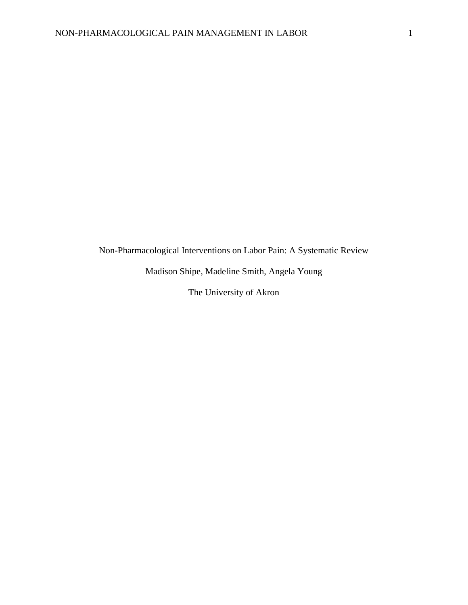Non-Pharmacological Interventions on Labor Pain: A Systematic Review

Madison Shipe, Madeline Smith, Angela Young

The University of Akron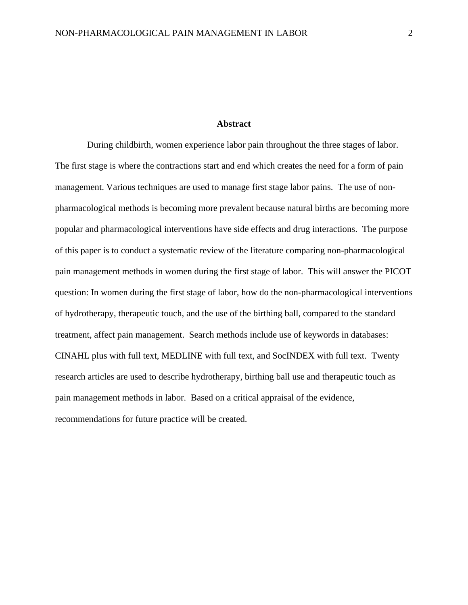#### **Abstract**

 During childbirth, women experience labor pain throughout the three stages of labor. The first stage is where the contractions start and end which creates the need for a form of pain management. Various techniques are used to manage first stage labor pains. The use of nonpharmacological methods is becoming more prevalent because natural births are becoming more popular and pharmacological interventions have side effects and drug interactions. The purpose of this paper is to conduct a systematic review of the literature comparing non-pharmacological pain management methods in women during the first stage of labor. This will answer the PICOT question: In women during the first stage of labor, how do the non-pharmacological interventions of hydrotherapy, therapeutic touch, and the use of the birthing ball, compared to the standard treatment, affect pain management. Search methods include use of keywords in databases: CINAHL plus with full text, MEDLINE with full text, and SocINDEX with full text. Twenty research articles are used to describe hydrotherapy, birthing ball use and therapeutic touch as pain management methods in labor. Based on a critical appraisal of the evidence, recommendations for future practice will be created.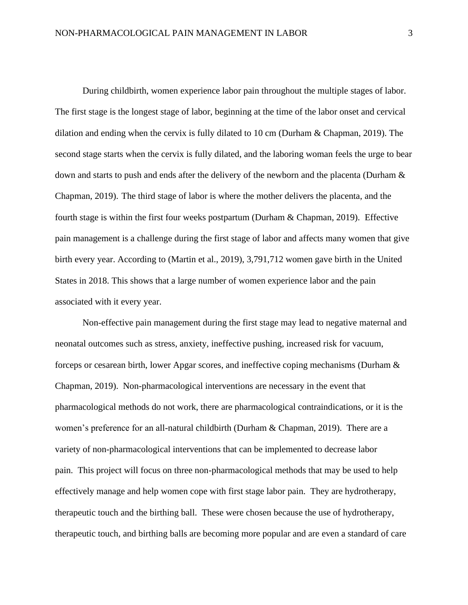During childbirth, women experience labor pain throughout the multiple stages of labor. The first stage is the longest stage of labor, beginning at the time of the labor onset and cervical dilation and ending when the cervix is fully dilated to 10 cm (Durham & Chapman, 2019). The second stage starts when the cervix is fully dilated, and the laboring woman feels the urge to bear down and starts to push and ends after the delivery of the newborn and the placenta (Durham & Chapman, 2019). The third stage of labor is where the mother delivers the placenta, and the fourth stage is within the first four weeks postpartum (Durham & Chapman, 2019). Effective pain management is a challenge during the first stage of labor and affects many women that give birth every year. According to (Martin et al., 2019), 3,791,712 women gave birth in the United States in 2018. This shows that a large number of women experience labor and the pain associated with it every year.

Non-effective pain management during the first stage may lead to negative maternal and neonatal outcomes such as stress, anxiety, ineffective pushing, increased risk for vacuum, forceps or cesarean birth, lower Apgar scores, and ineffective coping mechanisms (Durham & Chapman, 2019). Non-pharmacological interventions are necessary in the event that pharmacological methods do not work, there are pharmacological contraindications, or it is the women's preference for an all-natural childbirth (Durham & Chapman, 2019). There are a variety of non-pharmacological interventions that can be implemented to decrease labor pain. This project will focus on three non-pharmacological methods that may be used to help effectively manage and help women cope with first stage labor pain. They are hydrotherapy, therapeutic touch and the birthing ball. These were chosen because the use of hydrotherapy, therapeutic touch, and birthing balls are becoming more popular and are even a standard of care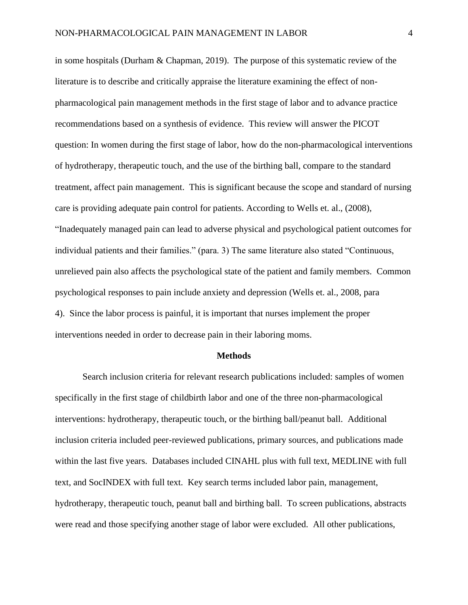in some hospitals (Durham & Chapman, 2019). The purpose of this systematic review of the literature is to describe and critically appraise the literature examining the effect of nonpharmacological pain management methods in the first stage of labor and to advance practice recommendations based on a synthesis of evidence. This review will answer the PICOT question: In women during the first stage of labor, how do the non-pharmacological interventions of hydrotherapy, therapeutic touch, and the use of the birthing ball, compare to the standard treatment, affect pain management. This is significant because the scope and standard of nursing care is providing adequate pain control for patients. According to Wells et. al., (2008), "Inadequately managed pain can lead to adverse physical and psychological patient outcomes for individual patients and their families." (para. 3) The same literature also stated "Continuous, unrelieved pain also affects the psychological state of the patient and family members. Common psychological responses to pain include anxiety and depression (Wells et. al., 2008, para 4). Since the labor process is painful, it is important that nurses implement the proper interventions needed in order to decrease pain in their laboring moms.

#### **Methods**

Search inclusion criteria for relevant research publications included: samples of women specifically in the first stage of childbirth labor and one of the three non-pharmacological interventions: hydrotherapy, therapeutic touch, or the birthing ball/peanut ball. Additional inclusion criteria included peer-reviewed publications, primary sources, and publications made within the last five years. Databases included CINAHL plus with full text, MEDLINE with full text, and SocINDEX with full text. Key search terms included labor pain, management, hydrotherapy, therapeutic touch, peanut ball and birthing ball. To screen publications, abstracts were read and those specifying another stage of labor were excluded. All other publications,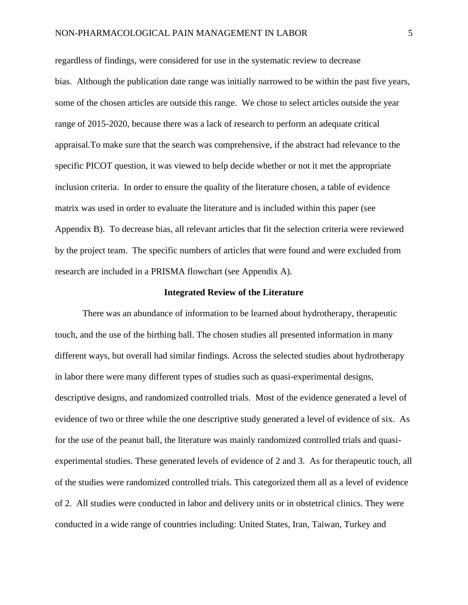regardless of findings, were considered for use in the systematic review to decrease bias. Although the publication date range was initially narrowed to be within the past five years, some of the chosen articles are outside this range. We chose to select articles outside the year range of 2015-2020, because there was a lack of research to perform an adequate critical appraisal.To make sure that the search was comprehensive, if the abstract had relevance to the specific PICOT question, it was viewed to help decide whether or not it met the appropriate inclusion criteria. In order to ensure the quality of the literature chosen, a table of evidence matrix was used in order to evaluate the literature and is included within this paper (see Appendix B). To decrease bias, all relevant articles that fit the selection criteria were reviewed by the project team. The specific numbers of articles that were found and were excluded from research are included in a PRISMA flowchart (see Appendix A).

#### **Integrated Review of the Literature**

There was an abundance of information to be learned about hydrotherapy, therapeutic touch, and the use of the birthing ball. The chosen studies all presented information in many different ways, but overall had similar findings. Across the selected studies about hydrotherapy in labor there were many different types of studies such as quasi-experimental designs, descriptive designs, and randomized controlled trials. Most of the evidence generated a level of evidence of two or three while the one descriptive study generated a level of evidence of six. As for the use of the peanut ball, the literature was mainly randomized controlled trials and quasiexperimental studies. These generated levels of evidence of 2 and 3. As for therapeutic touch, all of the studies were randomized controlled trials. This categorized them all as a level of evidence of 2. All studies were conducted in labor and delivery units or in obstetrical clinics. They were conducted in a wide range of countries including: United States, Iran, Taiwan, Turkey and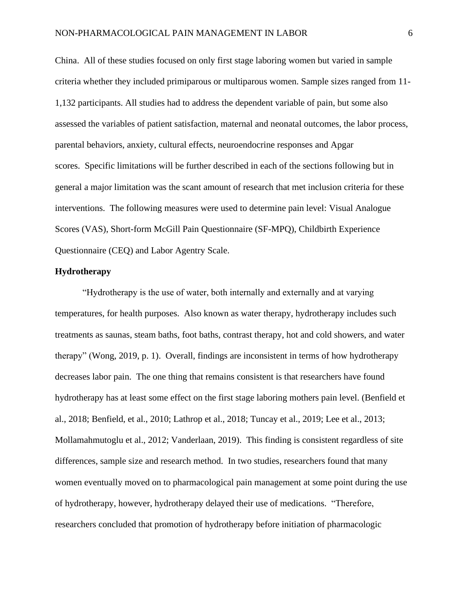China. All of these studies focused on only first stage laboring women but varied in sample criteria whether they included primiparous or multiparous women. Sample sizes ranged from 11- 1,132 participants. All studies had to address the dependent variable of pain, but some also assessed the variables of patient satisfaction, maternal and neonatal outcomes, the labor process, parental behaviors, anxiety, cultural effects, neuroendocrine responses and Apgar scores. Specific limitations will be further described in each of the sections following but in general a major limitation was the scant amount of research that met inclusion criteria for these interventions. The following measures were used to determine pain level: Visual Analogue Scores (VAS), Short-form McGill Pain Questionnaire (SF-MPQ), Childbirth Experience Questionnaire (CEQ) and Labor Agentry Scale.

#### **Hydrotherapy**

 "Hydrotherapy is the use of water, both internally and externally and at varying temperatures, for health purposes. Also known as water therapy, hydrotherapy includes such treatments as saunas, steam baths, foot baths, contrast therapy, hot and cold showers, and water therapy" (Wong, 2019, p. 1). Overall, findings are inconsistent in terms of how hydrotherapy decreases labor pain. The one thing that remains consistent is that researchers have found hydrotherapy has at least some effect on the first stage laboring mothers pain level. (Benfield et al., 2018; Benfield, et al., 2010; Lathrop et al., 2018; Tuncay et al., 2019; Lee et al., 2013; Mollamahmutoglu et al., 2012; Vanderlaan, 2019). This finding is consistent regardless of site differences, sample size and research method. In two studies, researchers found that many women eventually moved on to pharmacological pain management at some point during the use of hydrotherapy, however, hydrotherapy delayed their use of medications. "Therefore, researchers concluded that promotion of hydrotherapy before initiation of pharmacologic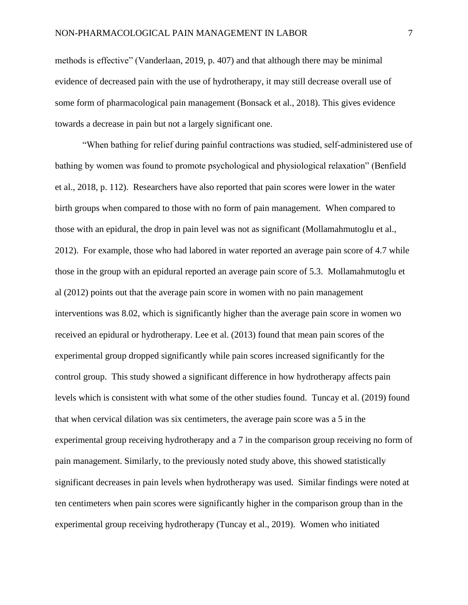methods is effective" (Vanderlaan, 2019, p. 407) and that although there may be minimal evidence of decreased pain with the use of hydrotherapy, it may still decrease overall use of some form of pharmacological pain management (Bonsack et al., 2018). This gives evidence towards a decrease in pain but not a largely significant one.

"When bathing for relief during painful contractions was studied, self-administered use of bathing by women was found to promote psychological and physiological relaxation" (Benfield et al., 2018, p. 112). Researchers have also reported that pain scores were lower in the water birth groups when compared to those with no form of pain management. When compared to those with an epidural, the drop in pain level was not as significant (Mollamahmutoglu et al., 2012). For example, those who had labored in water reported an average pain score of 4.7 while those in the group with an epidural reported an average pain score of 5.3. Mollamahmutoglu et al (2012) points out that the average pain score in women with no pain management interventions was 8.02, which is significantly higher than the average pain score in women wo received an epidural or hydrotherapy. Lee et al. (2013) found that mean pain scores of the experimental group dropped significantly while pain scores increased significantly for the control group. This study showed a significant difference in how hydrotherapy affects pain levels which is consistent with what some of the other studies found. Tuncay et al. (2019) found that when cervical dilation was six centimeters, the average pain score was a 5 in the experimental group receiving hydrotherapy and a 7 in the comparison group receiving no form of pain management. Similarly, to the previously noted study above, this showed statistically significant decreases in pain levels when hydrotherapy was used. Similar findings were noted at ten centimeters when pain scores were significantly higher in the comparison group than in the experimental group receiving hydrotherapy (Tuncay et al., 2019). Women who initiated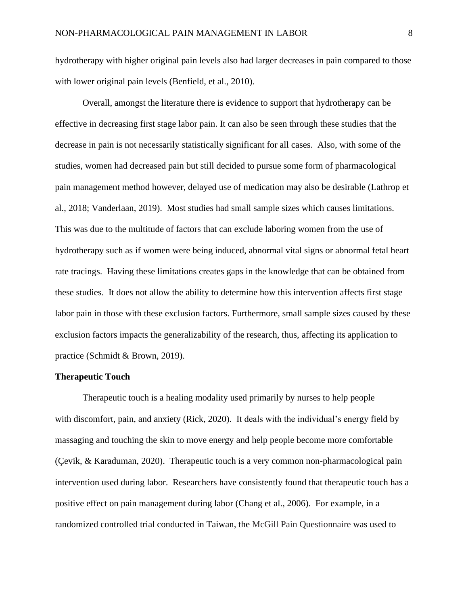hydrotherapy with higher original pain levels also had larger decreases in pain compared to those with lower original pain levels (Benfield, et al., 2010).

Overall, amongst the literature there is evidence to support that hydrotherapy can be effective in decreasing first stage labor pain. It can also be seen through these studies that the decrease in pain is not necessarily statistically significant for all cases. Also, with some of the studies, women had decreased pain but still decided to pursue some form of pharmacological pain management method however, delayed use of medication may also be desirable (Lathrop et al., 2018; Vanderlaan, 2019). Most studies had small sample sizes which causes limitations. This was due to the multitude of factors that can exclude laboring women from the use of hydrotherapy such as if women were being induced, abnormal vital signs or abnormal fetal heart rate tracings. Having these limitations creates gaps in the knowledge that can be obtained from these studies. It does not allow the ability to determine how this intervention affects first stage labor pain in those with these exclusion factors. Furthermore, small sample sizes caused by these exclusion factors impacts the generalizability of the research, thus, affecting its application to practice (Schmidt & Brown, 2019).

#### **Therapeutic Touch**

Therapeutic touch is a healing modality used primarily by nurses to help people with discomfort, pain, and anxiety (Rick, 2020). It deals with the individual's energy field by massaging and touching the skin to move energy and help people become more comfortable (Çevik, & Karaduman, 2020). Therapeutic touch is a very common non-pharmacological pain intervention used during labor. Researchers have consistently found that therapeutic touch has a positive effect on pain management during labor (Chang et al., 2006). For example, in a randomized controlled trial conducted in Taiwan, the McGill Pain Questionnaire was used to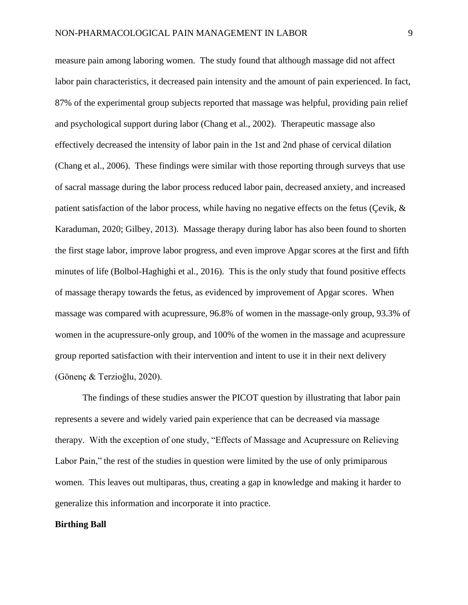measure pain among laboring women. The study found that although massage did not affect labor pain characteristics, it decreased pain intensity and the amount of pain experienced. In fact, 87% of the experimental group subjects reported that massage was helpful, providing pain relief and psychological support during labor (Chang et al., 2002). Therapeutic massage also effectively decreased the intensity of labor pain in the 1st and 2nd phase of cervical dilation (Chang et al., 2006). These findings were similar with those reporting through surveys that use of sacral massage during the labor process reduced labor pain, decreased anxiety, and increased patient satisfaction of the labor process, while having no negative effects on the fetus (Çevik, & Karaduman, 2020; Gilbey, 2013). Massage therapy during labor has also been found to shorten the first stage labor, improve labor progress, and even improve Apgar scores at the first and fifth minutes of life (Bolbol-Haghighi et al., 2016). This is the only study that found positive effects of massage therapy towards the fetus, as evidenced by improvement of Apgar scores. When massage was compared with acupressure, 96.8% of women in the massage-only group, 93.3% of women in the acupressure-only group, and 100% of the women in the massage and acupressure group reported satisfaction with their intervention and intent to use it in their next delivery (Gönenç & Terzioğlu, 2020).

The findings of these studies answer the PICOT question by illustrating that labor pain represents a severe and widely varied pain experience that can be decreased via massage therapy. With the exception of one study, "Effects of Massage and Acupressure on Relieving Labor Pain," the rest of the studies in question were limited by the use of only primiparous women. This leaves out multiparas, thus, creating a gap in knowledge and making it harder to generalize this information and incorporate it into practice.

#### **Birthing Ball**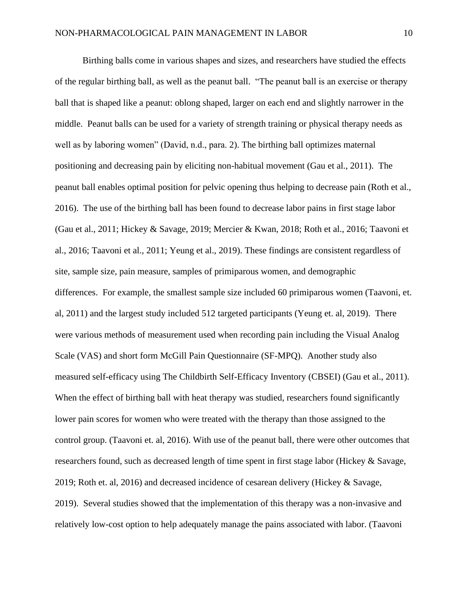Birthing balls come in various shapes and sizes, and researchers have studied the effects of the regular birthing ball, as well as the peanut ball. "The peanut ball is an exercise or therapy ball that is shaped like a peanut: oblong shaped, larger on each end and slightly narrower in the middle. Peanut balls can be used for a variety of strength training or physical therapy needs as well as by laboring women" (David, n.d., para. 2). The birthing ball optimizes maternal positioning and decreasing pain by eliciting non-habitual movement (Gau et al., 2011). The peanut ball enables optimal position for pelvic opening thus helping to decrease pain (Roth et al., 2016). The use of the birthing ball has been found to decrease labor pains in first stage labor (Gau et al., 2011; Hickey & Savage, 2019; Mercier & Kwan, 2018; Roth et al., 2016; Taavoni et al., 2016; Taavoni et al., 2011; Yeung et al., 2019). These findings are consistent regardless of site, sample size, pain measure, samples of primiparous women, and demographic differences. For example, the smallest sample size included 60 primiparous women (Taavoni, et. al, 2011) and the largest study included 512 targeted participants (Yeung et. al, 2019). There were various methods of measurement used when recording pain including the Visual Analog Scale (VAS) and short form McGill Pain Questionnaire (SF-MPQ). Another study also measured self-efficacy using The Childbirth Self-Efficacy Inventory (CBSEI) (Gau et al., 2011). When the effect of birthing ball with heat therapy was studied, researchers found significantly lower pain scores for women who were treated with the therapy than those assigned to the control group. (Taavoni et. al, 2016). With use of the peanut ball, there were other outcomes that researchers found, such as decreased length of time spent in first stage labor (Hickey & Savage, 2019; Roth et. al, 2016) and decreased incidence of cesarean delivery (Hickey & Savage, 2019). Several studies showed that the implementation of this therapy was a non-invasive and relatively low-cost option to help adequately manage the pains associated with labor. (Taavoni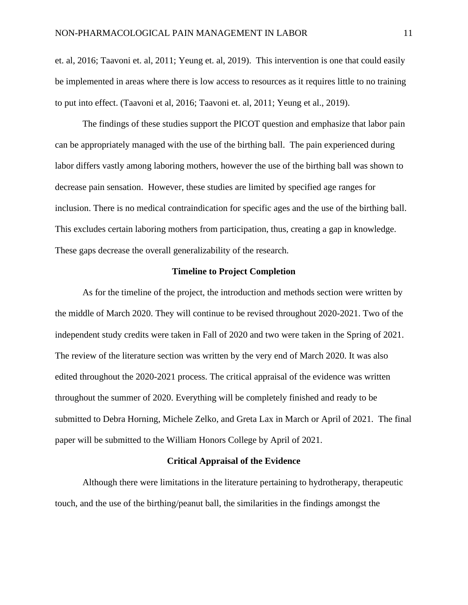et. al, 2016; Taavoni et. al, 2011; Yeung et. al, 2019). This intervention is one that could easily be implemented in areas where there is low access to resources as it requires little to no training to put into effect. (Taavoni et al, 2016; Taavoni et. al, 2011; Yeung et al., 2019).

The findings of these studies support the PICOT question and emphasize that labor pain can be appropriately managed with the use of the birthing ball. The pain experienced during labor differs vastly among laboring mothers, however the use of the birthing ball was shown to decrease pain sensation. However, these studies are limited by specified age ranges for inclusion. There is no medical contraindication for specific ages and the use of the birthing ball. This excludes certain laboring mothers from participation, thus, creating a gap in knowledge. These gaps decrease the overall generalizability of the research.

#### **Timeline to Project Completion**

As for the timeline of the project, the introduction and methods section were written by the middle of March 2020. They will continue to be revised throughout 2020-2021. Two of the independent study credits were taken in Fall of 2020 and two were taken in the Spring of 2021. The review of the literature section was written by the very end of March 2020. It was also edited throughout the 2020-2021 process. The critical appraisal of the evidence was written throughout the summer of 2020. Everything will be completely finished and ready to be submitted to Debra Horning, Michele Zelko, and Greta Lax in March or April of 2021. The final paper will be submitted to the William Honors College by April of 2021.

#### **Critical Appraisal of the Evidence**

Although there were limitations in the literature pertaining to hydrotherapy, therapeutic touch, and the use of the birthing/peanut ball, the similarities in the findings amongst the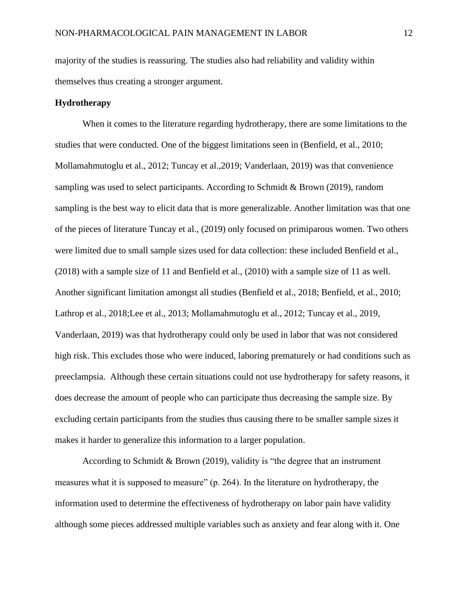majority of the studies is reassuring. The studies also had reliability and validity within themselves thus creating a stronger argument.

#### **Hydrotherapy**

When it comes to the literature regarding hydrotherapy, there are some limitations to the studies that were conducted. One of the biggest limitations seen in (Benfield, et al., 2010; Mollamahmutoglu et al., 2012; Tuncay et al.,2019; Vanderlaan, 2019) was that convenience sampling was used to select participants. According to Schmidt & Brown (2019), random sampling is the best way to elicit data that is more generalizable. Another limitation was that one of the pieces of literature Tuncay et al., (2019) only focused on primiparous women. Two others were limited due to small sample sizes used for data collection: these included Benfield et al., (2018) with a sample size of 11 and Benfield et al., (2010) with a sample size of 11 as well. Another significant limitation amongst all studies (Benfield et al., 2018; Benfield, et al., 2010; Lathrop et al., 2018;Lee et al., 2013; Mollamahmutoglu et al., 2012; Tuncay et al., 2019, Vanderlaan, 2019) was that hydrotherapy could only be used in labor that was not considered high risk. This excludes those who were induced, laboring prematurely or had conditions such as preeclampsia. Although these certain situations could not use hydrotherapy for safety reasons, it does decrease the amount of people who can participate thus decreasing the sample size. By excluding certain participants from the studies thus causing there to be smaller sample sizes it makes it harder to generalize this information to a larger population.

According to Schmidt & Brown (2019), validity is "the degree that an instrument measures what it is supposed to measure" (p. 264). In the literature on hydrotherapy, the information used to determine the effectiveness of hydrotherapy on labor pain have validity although some pieces addressed multiple variables such as anxiety and fear along with it. One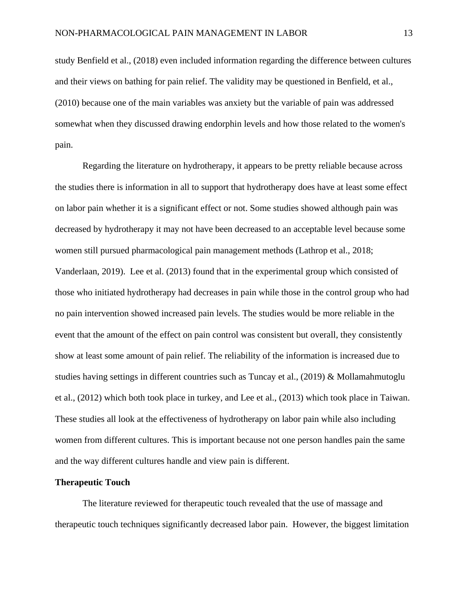study Benfield et al., (2018) even included information regarding the difference between cultures and their views on bathing for pain relief. The validity may be questioned in Benfield, et al., (2010) because one of the main variables was anxiety but the variable of pain was addressed somewhat when they discussed drawing endorphin levels and how those related to the women's pain.

Regarding the literature on hydrotherapy, it appears to be pretty reliable because across the studies there is information in all to support that hydrotherapy does have at least some effect on labor pain whether it is a significant effect or not. Some studies showed although pain was decreased by hydrotherapy it may not have been decreased to an acceptable level because some women still pursued pharmacological pain management methods (Lathrop et al., 2018; Vanderlaan, 2019). Lee et al. (2013) found that in the experimental group which consisted of those who initiated hydrotherapy had decreases in pain while those in the control group who had no pain intervention showed increased pain levels. The studies would be more reliable in the event that the amount of the effect on pain control was consistent but overall, they consistently show at least some amount of pain relief. The reliability of the information is increased due to studies having settings in different countries such as Tuncay et al.,  $(2019)$  & Mollamahmutoglu et al., (2012) which both took place in turkey, and Lee et al., (2013) which took place in Taiwan. These studies all look at the effectiveness of hydrotherapy on labor pain while also including women from different cultures. This is important because not one person handles pain the same and the way different cultures handle and view pain is different.

#### **Therapeutic Touch**

The literature reviewed for therapeutic touch revealed that the use of massage and therapeutic touch techniques significantly decreased labor pain. However, the biggest limitation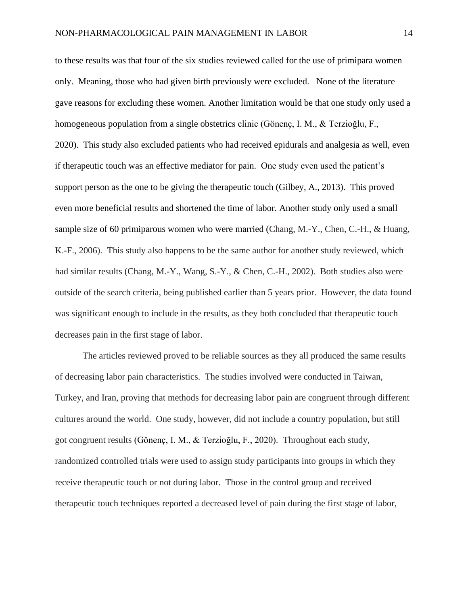to these results was that four of the six studies reviewed called for the use of primipara women only. Meaning, those who had given birth previously were excluded. None of the literature gave reasons for excluding these women. Another limitation would be that one study only used a homogeneous population from a single obstetrics clinic (Gönenç, I. M., & Terzioğlu, F., 2020). This study also excluded patients who had received epidurals and analgesia as well, even if therapeutic touch was an effective mediator for pain. One study even used the patient's support person as the one to be giving the therapeutic touch (Gilbey, A., 2013). This proved even more beneficial results and shortened the time of labor. Another study only used a small sample size of 60 primiparous women who were married (Chang, M.-Y., Chen, C.-H., & Huang, K.-F., 2006). This study also happens to be the same author for another study reviewed, which had similar results (Chang, M.-Y., Wang, S.-Y., & Chen, C.-H., 2002). Both studies also were outside of the search criteria, being published earlier than 5 years prior. However, the data found was significant enough to include in the results, as they both concluded that therapeutic touch decreases pain in the first stage of labor.

The articles reviewed proved to be reliable sources as they all produced the same results of decreasing labor pain characteristics. The studies involved were conducted in Taiwan, Turkey, and Iran, proving that methods for decreasing labor pain are congruent through different cultures around the world. One study, however, did not include a country population, but still got congruent results (Gönenç, I. M., & Terzioğlu, F., 2020). Throughout each study, randomized controlled trials were used to assign study participants into groups in which they receive therapeutic touch or not during labor. Those in the control group and received therapeutic touch techniques reported a decreased level of pain during the first stage of labor,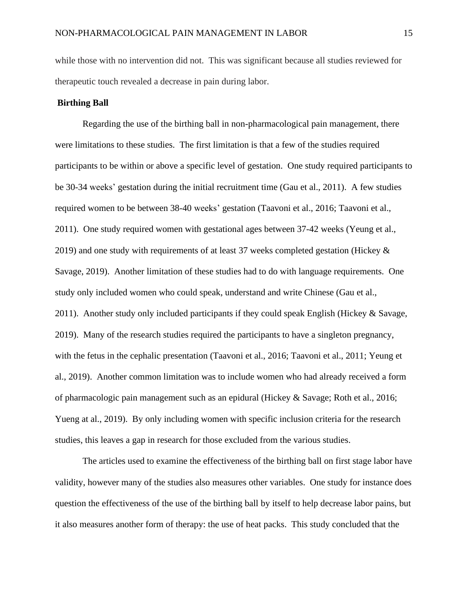while those with no intervention did not. This was significant because all studies reviewed for therapeutic touch revealed a decrease in pain during labor.

#### **Birthing Ball**

Regarding the use of the birthing ball in non-pharmacological pain management, there were limitations to these studies. The first limitation is that a few of the studies required participants to be within or above a specific level of gestation. One study required participants to be 30-34 weeks' gestation during the initial recruitment time (Gau et al., 2011). A few studies required women to be between 38-40 weeks' gestation (Taavoni et al., 2016; Taavoni et al., 2011). One study required women with gestational ages between 37-42 weeks (Yeung et al., 2019) and one study with requirements of at least 37 weeks completed gestation (Hickey  $\&$ Savage, 2019). Another limitation of these studies had to do with language requirements. One study only included women who could speak, understand and write Chinese (Gau et al., 2011). Another study only included participants if they could speak English (Hickey & Savage, 2019). Many of the research studies required the participants to have a singleton pregnancy, with the fetus in the cephalic presentation (Taavoni et al., 2016; Taavoni et al., 2011; Yeung et al., 2019). Another common limitation was to include women who had already received a form of pharmacologic pain management such as an epidural (Hickey & Savage; Roth et al., 2016; Yueng at al., 2019). By only including women with specific inclusion criteria for the research studies, this leaves a gap in research for those excluded from the various studies.

The articles used to examine the effectiveness of the birthing ball on first stage labor have validity, however many of the studies also measures other variables. One study for instance does question the effectiveness of the use of the birthing ball by itself to help decrease labor pains, but it also measures another form of therapy: the use of heat packs. This study concluded that the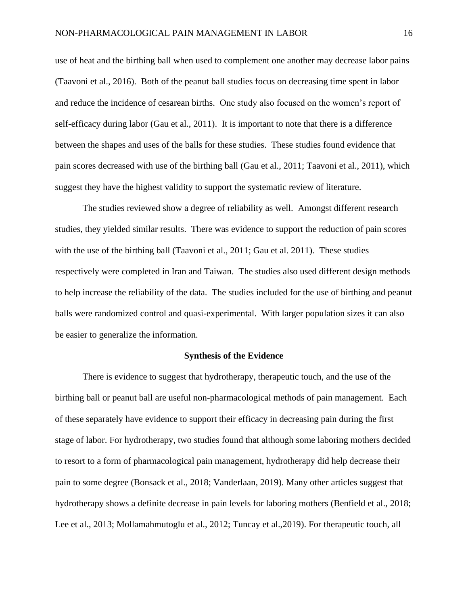use of heat and the birthing ball when used to complement one another may decrease labor pains (Taavoni et al., 2016). Both of the peanut ball studies focus on decreasing time spent in labor and reduce the incidence of cesarean births. One study also focused on the women's report of self-efficacy during labor (Gau et al., 2011). It is important to note that there is a difference between the shapes and uses of the balls for these studies. These studies found evidence that pain scores decreased with use of the birthing ball (Gau et al., 2011; Taavoni et al., 2011), which suggest they have the highest validity to support the systematic review of literature.

The studies reviewed show a degree of reliability as well. Amongst different research studies, they yielded similar results. There was evidence to support the reduction of pain scores with the use of the birthing ball (Taavoni et al., 2011; Gau et al. 2011). These studies respectively were completed in Iran and Taiwan. The studies also used different design methods to help increase the reliability of the data. The studies included for the use of birthing and peanut balls were randomized control and quasi-experimental. With larger population sizes it can also be easier to generalize the information.

#### **Synthesis of the Evidence**

There is evidence to suggest that hydrotherapy, therapeutic touch, and the use of the birthing ball or peanut ball are useful non-pharmacological methods of pain management. Each of these separately have evidence to support their efficacy in decreasing pain during the first stage of labor. For hydrotherapy, two studies found that although some laboring mothers decided to resort to a form of pharmacological pain management, hydrotherapy did help decrease their pain to some degree (Bonsack et al., 2018; Vanderlaan, 2019). Many other articles suggest that hydrotherapy shows a definite decrease in pain levels for laboring mothers (Benfield et al., 2018; Lee et al., 2013; Mollamahmutoglu et al., 2012; Tuncay et al.,2019). For therapeutic touch, all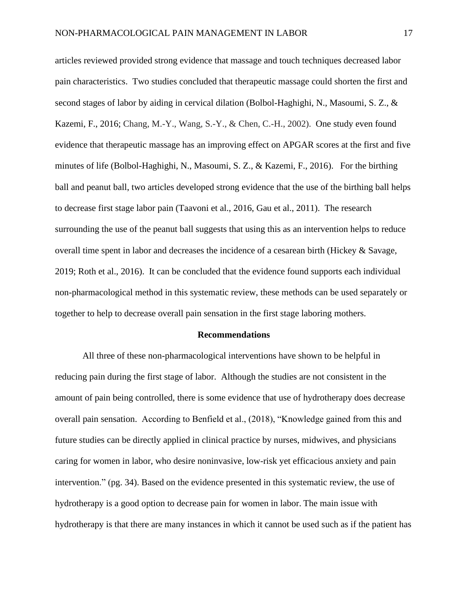articles reviewed provided strong evidence that massage and touch techniques decreased labor pain characteristics. Two studies concluded that therapeutic massage could shorten the first and second stages of labor by aiding in cervical dilation (Bolbol-Haghighi, N., Masoumi, S. Z., & Kazemi, F., 2016; Chang, M.-Y., Wang, S.-Y., & Chen, C.-H., 2002). One study even found evidence that therapeutic massage has an improving effect on APGAR scores at the first and five minutes of life (Bolbol-Haghighi, N., Masoumi, S. Z., & Kazemi, F., 2016). For the birthing ball and peanut ball, two articles developed strong evidence that the use of the birthing ball helps to decrease first stage labor pain (Taavoni et al., 2016, Gau et al., 2011). The research surrounding the use of the peanut ball suggests that using this as an intervention helps to reduce overall time spent in labor and decreases the incidence of a cesarean birth (Hickey & Savage, 2019; Roth et al., 2016). It can be concluded that the evidence found supports each individual non-pharmacological method in this systematic review, these methods can be used separately or together to help to decrease overall pain sensation in the first stage laboring mothers.

#### **Recommendations**

All three of these non-pharmacological interventions have shown to be helpful in reducing pain during the first stage of labor. Although the studies are not consistent in the amount of pain being controlled, there is some evidence that use of hydrotherapy does decrease overall pain sensation. According to Benfield et al., (2018), "Knowledge gained from this and future studies can be directly applied in clinical practice by nurses, midwives, and physicians caring for women in labor, who desire noninvasive, low-risk yet efficacious anxiety and pain intervention." (pg. 34). Based on the evidence presented in this systematic review, the use of hydrotherapy is a good option to decrease pain for women in labor. The main issue with hydrotherapy is that there are many instances in which it cannot be used such as if the patient has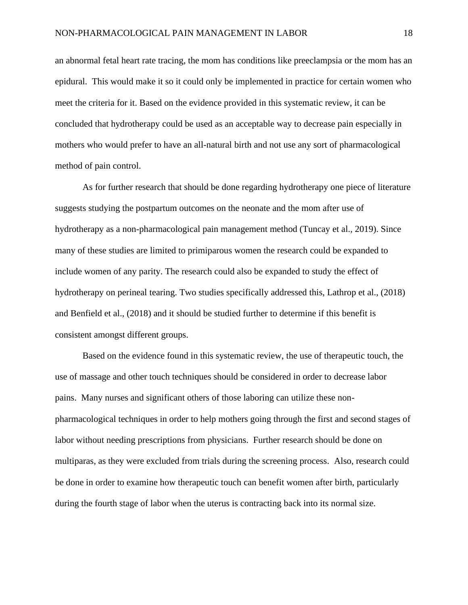an abnormal fetal heart rate tracing, the mom has conditions like preeclampsia or the mom has an epidural. This would make it so it could only be implemented in practice for certain women who meet the criteria for it. Based on the evidence provided in this systematic review, it can be concluded that hydrotherapy could be used as an acceptable way to decrease pain especially in mothers who would prefer to have an all-natural birth and not use any sort of pharmacological method of pain control.

As for further research that should be done regarding hydrotherapy one piece of literature suggests studying the postpartum outcomes on the neonate and the mom after use of hydrotherapy as a non-pharmacological pain management method (Tuncay et al., 2019). Since many of these studies are limited to primiparous women the research could be expanded to include women of any parity. The research could also be expanded to study the effect of hydrotherapy on perineal tearing. Two studies specifically addressed this, Lathrop et al., (2018) and Benfield et al., (2018) and it should be studied further to determine if this benefit is consistent amongst different groups.

Based on the evidence found in this systematic review, the use of therapeutic touch, the use of massage and other touch techniques should be considered in order to decrease labor pains. Many nurses and significant others of those laboring can utilize these nonpharmacological techniques in order to help mothers going through the first and second stages of labor without needing prescriptions from physicians. Further research should be done on multiparas, as they were excluded from trials during the screening process. Also, research could be done in order to examine how therapeutic touch can benefit women after birth, particularly during the fourth stage of labor when the uterus is contracting back into its normal size.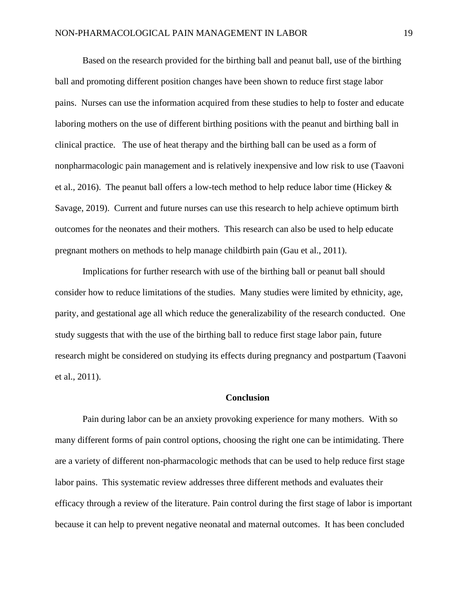Based on the research provided for the birthing ball and peanut ball, use of the birthing ball and promoting different position changes have been shown to reduce first stage labor pains. Nurses can use the information acquired from these studies to help to foster and educate laboring mothers on the use of different birthing positions with the peanut and birthing ball in clinical practice. The use of heat therapy and the birthing ball can be used as a form of nonpharmacologic pain management and is relatively inexpensive and low risk to use (Taavoni et al., 2016). The peanut ball offers a low-tech method to help reduce labor time (Hickey & Savage, 2019). Current and future nurses can use this research to help achieve optimum birth outcomes for the neonates and their mothers. This research can also be used to help educate pregnant mothers on methods to help manage childbirth pain (Gau et al., 2011).

Implications for further research with use of the birthing ball or peanut ball should consider how to reduce limitations of the studies. Many studies were limited by ethnicity, age, parity, and gestational age all which reduce the generalizability of the research conducted. One study suggests that with the use of the birthing ball to reduce first stage labor pain, future research might be considered on studying its effects during pregnancy and postpartum (Taavoni et al., 2011).

#### **Conclusion**

Pain during labor can be an anxiety provoking experience for many mothers. With so many different forms of pain control options, choosing the right one can be intimidating. There are a variety of different non-pharmacologic methods that can be used to help reduce first stage labor pains. This systematic review addresses three different methods and evaluates their efficacy through a review of the literature. Pain control during the first stage of labor is important because it can help to prevent negative neonatal and maternal outcomes. It has been concluded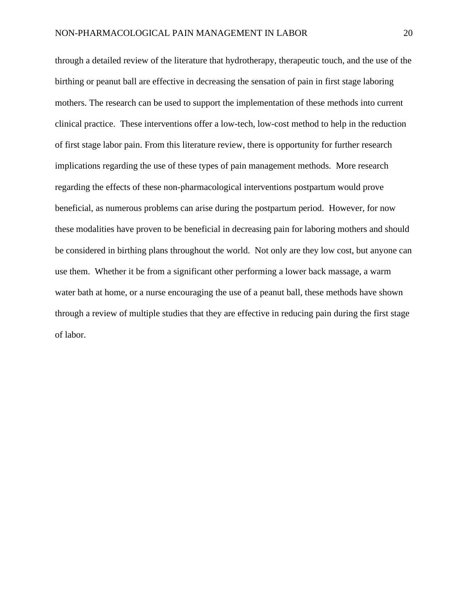through a detailed review of the literature that hydrotherapy, therapeutic touch, and the use of the birthing or peanut ball are effective in decreasing the sensation of pain in first stage laboring mothers. The research can be used to support the implementation of these methods into current clinical practice. These interventions offer a low-tech, low-cost method to help in the reduction of first stage labor pain. From this literature review, there is opportunity for further research implications regarding the use of these types of pain management methods. More research regarding the effects of these non-pharmacological interventions postpartum would prove beneficial, as numerous problems can arise during the postpartum period. However, for now these modalities have proven to be beneficial in decreasing pain for laboring mothers and should be considered in birthing plans throughout the world. Not only are they low cost, but anyone can use them. Whether it be from a significant other performing a lower back massage, a warm water bath at home, or a nurse encouraging the use of a peanut ball, these methods have shown through a review of multiple studies that they are effective in reducing pain during the first stage of labor.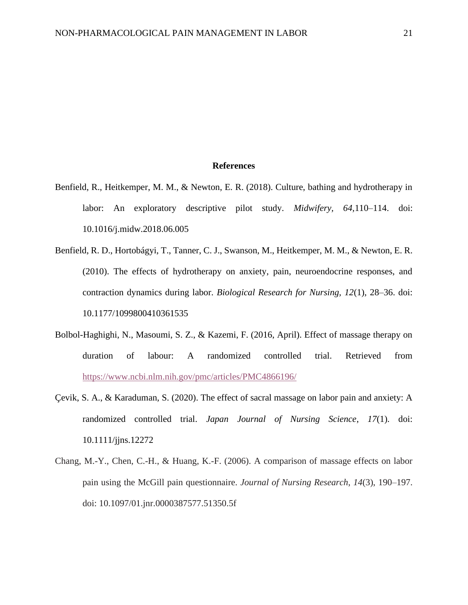#### **References**

- Benfield, R., Heitkemper, M. M., & Newton, E. R. (2018). Culture, bathing and hydrotherapy in labor: An exploratory descriptive pilot study. *Midwifery, 64,*110–114. doi: 10.1016/j.midw.2018.06.005
- Benfield, R. D., Hortobágyi, T., Tanner, C. J., Swanson, M., Heitkemper, M. M., & Newton, E. R. (2010). The effects of hydrotherapy on anxiety, pain, neuroendocrine responses, and contraction dynamics during labor. *Biological Research for Nursing, 12*(1), 28–36. doi: 10.1177/1099800410361535
- Bolbol-Haghighi, N., Masoumi, S. Z., & Kazemi, F. (2016, April). Effect of massage therapy on duration of labour: A randomized controlled trial. Retrieved from <https://www.ncbi.nlm.nih.gov/pmc/articles/PMC4866196/>
- Çevik, S. A., & Karaduman, S. (2020). The effect of sacral massage on labor pain and anxiety: A randomized controlled trial. *Japan Journal of Nursing Science*, *17*(1). doi: 10.1111/jjns.12272
- Chang, M.-Y., Chen, C.-H., & Huang, K.-F. (2006). A comparison of massage effects on labor pain using the McGill pain questionnaire. *Journal of Nursing Research*, *14*(3), 190–197. doi: 10.1097/01.jnr.0000387577.51350.5f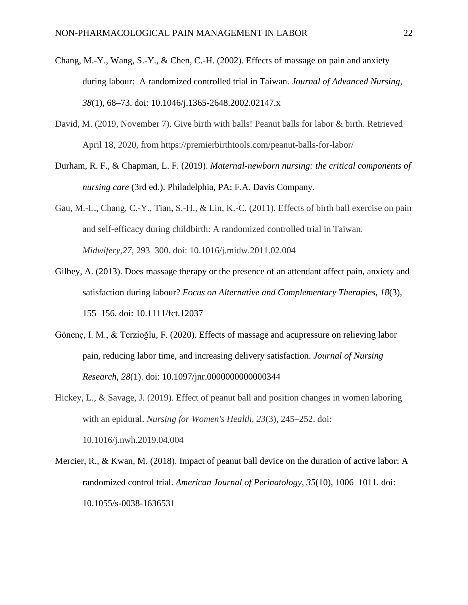- Chang, M.-Y., Wang, S.-Y., & Chen, C.-H. (2002). Effects of massage on pain and anxiety during labour: A randomized controlled trial in Taiwan. *Journal of Advanced Nursing*, *38*(1), 68–73. doi: 10.1046/j.1365-2648.2002.02147.x
- David, M. (2019, November 7). Give birth with balls! Peanut balls for labor & birth. Retrieved April 18, 2020, from https://premierbirthtools.com/peanut-balls-for-labor/
- Durham, R. F., & Chapman, L. F. (2019). *Maternal-newborn nursing: the critical components of nursing care* (3rd ed.). Philadelphia, PA: F.A. Davis Company.
- Gau, M.-L., Chang, C.-Y., Tian, S.-H., & Lin, K.-C. (2011). Effects of birth ball exercise on pain and self-efficacy during childbirth: A randomized controlled trial in Taiwan. *Midwifery*,*27*, 293–300. doi: 10.1016/j.midw.2011.02.004
- Gilbey, A. (2013). Does massage therapy or the presence of an attendant affect pain, anxiety and satisfaction during labour? *Focus on Alternative and Complementary Therapies*, *18*(3), 155–156. doi: 10.1111/fct.12037
- Gönenç, I. M., & Terzioğlu, F. (2020). Effects of massage and acupressure on relieving labor pain, reducing labor time, and increasing delivery satisfaction. *Journal of Nursing Research*, *28*(1). doi: 10.1097/jnr.0000000000000344
- Hickey, L., & Savage, J. (2019). Effect of peanut ball and position changes in women laboring with an epidural. *Nursing for Women's Health*, *23*(3), 245–252. doi: 10.1016/j.nwh.2019.04.004
- Mercier, R., & Kwan, M. (2018). Impact of peanut ball device on the duration of active labor: A randomized control trial. *American Journal of Perinatology*, *35*(10), 1006–1011. doi: 10.1055/s-0038-1636531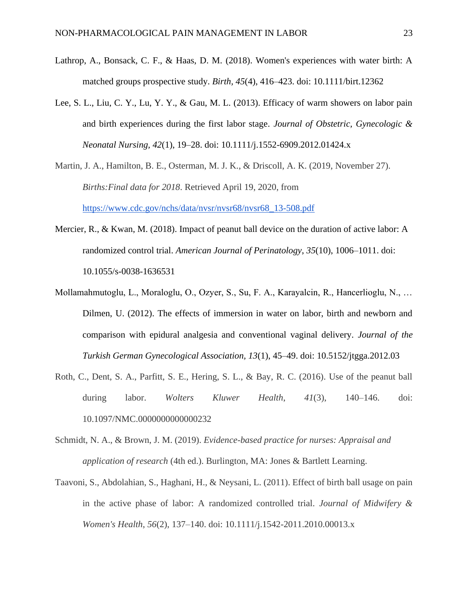- Lathrop, A., Bonsack, C. F., & Haas, D. M. (2018). Women's experiences with water birth: A matched groups prospective study. *Birth, 45*(4), 416–423. doi: 10.1111/birt.12362
- Lee, S. L., Liu, C. Y., Lu, Y. Y., & Gau, M. L. (2013). Efficacy of warm showers on labor pain and birth experiences during the first labor stage. *Journal of Obstetric, Gynecologic & Neonatal Nursing, 42*(1), 19–28. doi: 10.1111/j.1552-6909.2012.01424.x
- Martin, J. A., Hamilton, B. E., Osterman, M. J. K., & Driscoll, A. K. (2019, November 27). *Births:Final data for 2018*. Retrieved April 19, 2020, from [https://www.cdc.gov/nchs/data/nvsr/nvsr68/nvsr68\\_13-508.pdf](https://www.cdc.gov/nchs/data/nvsr/nvsr68/nvsr68_13-508.pdf)
- Mercier, R., & Kwan, M. (2018). Impact of peanut ball device on the duration of active labor: A randomized control trial. *American Journal of Perinatology*, *35*(10), 1006–1011. doi: 10.1055/s-0038-1636531
- Mollamahmutoglu, L., Moraloglu, O., Ozyer, S., Su, F. A., Karayalcin, R., Hancerlioglu, N., … Dilmen, U. (2012). The effects of immersion in water on labor, birth and newborn and comparison with epidural analgesia and conventional vaginal delivery. *Journal of the Turkish German Gynecological Association, 13*(1), 45–49. doi: 10.5152/jtgga.2012.03
- Roth, C., Dent, S. A., Parfitt, S. E., Hering, S. L., & Bay, R. C. (2016). Use of the peanut ball during labor. *Wolters Kluwer Health*, *41*(3), 140–146. doi: 10.1097/NMC.0000000000000232
- Schmidt, N. A., & Brown, J. M. (2019). *Evidence-based practice for nurses: Appraisal and application of research* (4th ed.). Burlington, MA: Jones & Bartlett Learning.
- Taavoni, S., Abdolahian, S., Haghani, H., & Neysani, L. (2011). Effect of birth ball usage on pain in the active phase of labor: A randomized controlled trial. *Journal of Midwifery & Women's Health*, *56*(2), 137–140. doi: 10.1111/j.1542-2011.2010.00013.x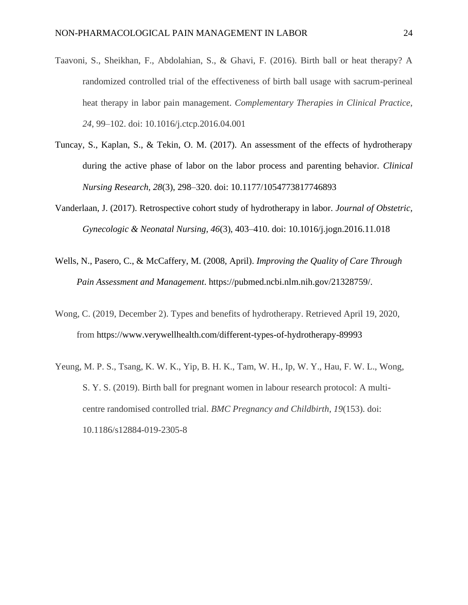- Taavoni, S., Sheikhan, F., Abdolahian, S., & Ghavi, F. (2016). Birth ball or heat therapy? A randomized controlled trial of the effectiveness of birth ball usage with sacrum-perineal heat therapy in labor pain management. *Complementary Therapies in Clinical Practice*, *24*, 99–102. doi: 10.1016/j.ctcp.2016.04.001
- Tuncay, S., Kaplan, S., & Tekin, O. M. (2017). An assessment of the effects of hydrotherapy during the active phase of labor on the labor process and parenting behavior. *Clinical Nursing Research, 28*(3), 298–320. doi: 10.1177/1054773817746893
- Vanderlaan, J. (2017). Retrospective cohort study of hydrotherapy in labor. *Journal of Obstetric, Gynecologic & Neonatal Nursing, 46*(3), 403–410. doi: 10.1016/j.jogn.2016.11.018
- Wells, N., Pasero, C., & McCaffery, M. (2008, April). *Improving the Quality of Care Through Pain Assessment and Management*. https://pubmed.ncbi.nlm.nih.gov/21328759/.
- Wong, C. (2019, December 2). Types and benefits of hydrotherapy. Retrieved April 19, 2020, from https://www.verywellhealth.com/different-types-of-hydrotherapy-89993
- Yeung, M. P. S., Tsang, K. W. K., Yip, B. H. K., Tam, W. H., Ip, W. Y., Hau, F. W. L., Wong, S. Y. S. (2019). Birth ball for pregnant women in labour research protocol: A multicentre randomised controlled trial. *BMC Pregnancy and Childbirth*, *19*(153). doi: 10.1186/s12884-019-2305-8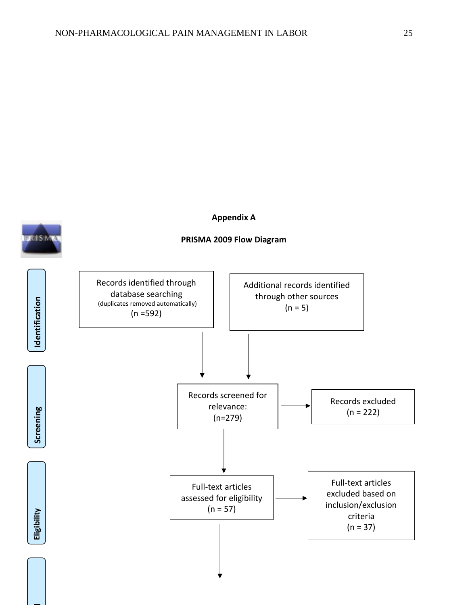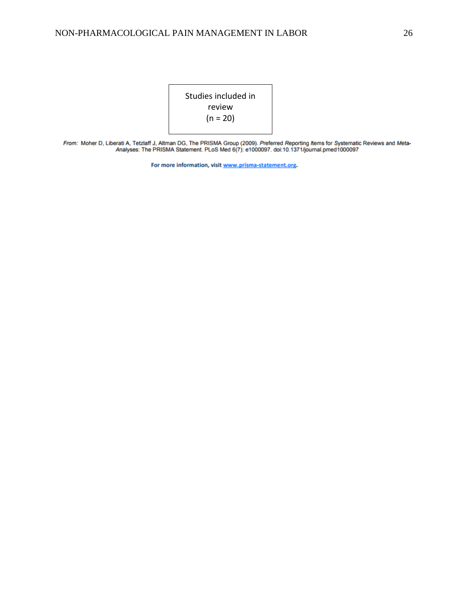

From: Moher D, Liberati A, Tetzlaff J, Altman DG, The PRISMA Group (2009). Preferred Reporting Items for Systematic Reviews and Meta-<br>Analyses: The PRISMA Statement. PLoS Med 6(7): e1000097. doi:10.1371/journal.pmed1000097

For more information, visit www.prisma-statement.org.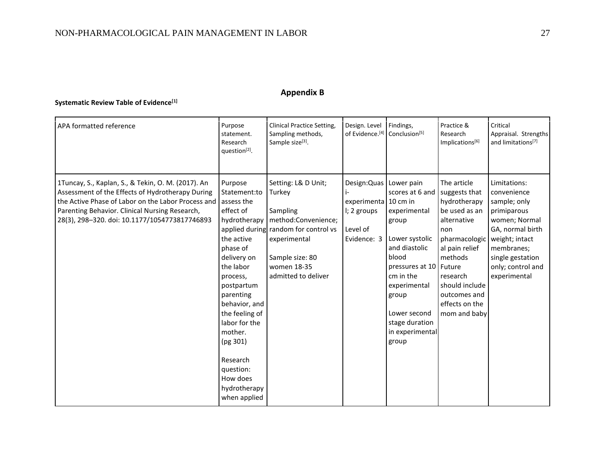## **Appendix B**

## **Systematic Review Table of Evidence[1]**

| APA formatted reference                                                                                                                                                                                                                                                    | Purpose<br>statement.<br>Research<br>question <sup>[2]</sup> .                                                                                                                                                                                                                    | <b>Clinical Practice Setting,</b><br>Sampling methods,<br>Sample size <sup>[3]</sup> .                                                                                                            | Design. Level<br>of Evidence. <sup>[4]</sup> Conclusion <sup>[5]</sup>                      | Findings,                                                                                                                                                                                                          | Practice &<br>Research<br>Implications[6]                                                                                                                                                                         | Critical<br>Appraisal. Strengths<br>and limitations <sup>[7]</sup>                                                                                                                       |
|----------------------------------------------------------------------------------------------------------------------------------------------------------------------------------------------------------------------------------------------------------------------------|-----------------------------------------------------------------------------------------------------------------------------------------------------------------------------------------------------------------------------------------------------------------------------------|---------------------------------------------------------------------------------------------------------------------------------------------------------------------------------------------------|---------------------------------------------------------------------------------------------|--------------------------------------------------------------------------------------------------------------------------------------------------------------------------------------------------------------------|-------------------------------------------------------------------------------------------------------------------------------------------------------------------------------------------------------------------|------------------------------------------------------------------------------------------------------------------------------------------------------------------------------------------|
| 1Tuncay, S., Kaplan, S., & Tekin, O. M. (2017). An<br>Assessment of the Effects of Hydrotherapy During<br>the Active Phase of Labor on the Labor Process and assess the<br>Parenting Behavior. Clinical Nursing Research,<br>28(3), 298-320. doi: 10.1177/1054773817746893 | Purpose<br>Statement:to<br>effect of<br>the active<br>phase of<br>delivery on<br>the labor<br>process,<br>postpartum<br>parenting<br>behavior, and<br>the feeling of<br>labor for the<br>mother.<br>(pg 301)<br>Research<br>question:<br>How does<br>hydrotherapy<br>when applied | Setting: L& D Unit;<br>Turkey<br>Sampling<br>hydrotherapy   method: Convenience;<br>applied during random for control vs<br>experimental<br>Sample size: 80<br>women 18-35<br>admitted to deliver | Design: Quas   Lower pain<br>experimenta 10 cm in<br>I; 2 groups<br>Level of<br>Evidence: 3 | scores at 6 and<br>experimental<br>group<br>Lower systolic<br>and diastolic<br>blood<br>pressures at 10 Future<br>cm in the<br>experimental<br>group<br>Lower second<br>stage duration<br>in experimental<br>group | The article<br>suggests that<br>hydrotherapy<br>be used as an<br>alternative<br>non<br>pharmacologic<br>al pain relief<br>methods<br>research<br>should include<br>outcomes and<br>effects on the<br>mom and baby | Limitations:<br>convenience<br>sample; only<br>primiparous<br>women; Normal<br>GA, normal birth<br>weight; intact<br>membranes;<br>single gestation<br>only; control and<br>experimental |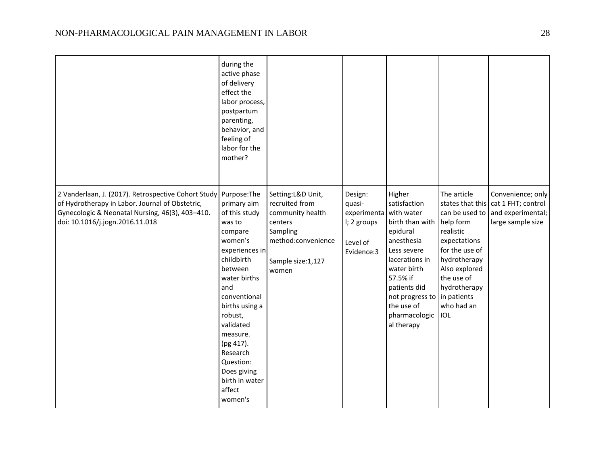|                                                                                                                                                                                                           | during the<br>active phase<br>of delivery<br>effect the<br>labor process,<br>postpartum<br>parenting,<br>behavior, and<br>feeling of<br>labor for the<br>mother?                                                                                                                                 |                                                                                                                                      |                                                                           |                                                                                                                                                                                                                                                     |                                                                                                                                                                                      |                                                                                   |
|-----------------------------------------------------------------------------------------------------------------------------------------------------------------------------------------------------------|--------------------------------------------------------------------------------------------------------------------------------------------------------------------------------------------------------------------------------------------------------------------------------------------------|--------------------------------------------------------------------------------------------------------------------------------------|---------------------------------------------------------------------------|-----------------------------------------------------------------------------------------------------------------------------------------------------------------------------------------------------------------------------------------------------|--------------------------------------------------------------------------------------------------------------------------------------------------------------------------------------|-----------------------------------------------------------------------------------|
| 2 Vanderlaan, J. (2017). Retrospective Cohort Study Purpose: The<br>of Hydrotherapy in Labor. Journal of Obstetric,<br>Gynecologic & Neonatal Nursing, 46(3), 403-410.<br>doi: 10.1016/j.jogn.2016.11.018 | primary aim<br>of this study<br>was to<br>compare<br>women's<br>experiences in<br>childbirth<br>between<br>water births<br>and<br>conventional<br>births using a<br>robust,<br>validated<br>measure.<br>(pg 417).<br>Research<br>Question:<br>Does giving<br>birth in water<br>affect<br>women's | Setting: L&D Unit,<br>recruited from<br>community health<br>centers<br>Sampling<br>method:convenience<br>Sample size: 1,127<br>women | Design:<br>quasi-<br>experimenta<br>I; 2 groups<br>Level of<br>Evidence:3 | Higher<br>satisfaction<br>with water<br>birth than with help form<br>epidural<br>anesthesia<br>Less severe<br>lacerations in<br>water birth<br>57.5% if<br>patients did<br>not progress to in patients<br>the use of<br>pharmacologic<br>al therapy | The article<br>states that this<br>can be used to<br>realistic<br>expectations<br>for the use of<br>hydrotherapy<br>Also explored<br>the use of<br>hydrotherapy<br>who had an<br>IOL | Convenience; only<br>cat 1 FHT; control<br>and experimental;<br>large sample size |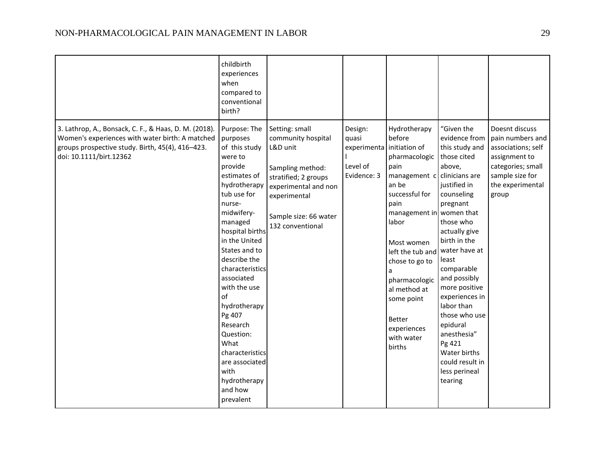|                                                                                                                                                                                         | childbirth<br>experiences<br>when<br>compared to<br>conventional<br>birth?                                                                                                                                                                                                                                                                                                                                                    |                                                                                                                                                                                   |                                                            |                                                                                                                                                                                                                                                                                                                                      |                                                                                                                                                                                                                                                                                                                                                                                                 |                                                                                                                                                |
|-----------------------------------------------------------------------------------------------------------------------------------------------------------------------------------------|-------------------------------------------------------------------------------------------------------------------------------------------------------------------------------------------------------------------------------------------------------------------------------------------------------------------------------------------------------------------------------------------------------------------------------|-----------------------------------------------------------------------------------------------------------------------------------------------------------------------------------|------------------------------------------------------------|--------------------------------------------------------------------------------------------------------------------------------------------------------------------------------------------------------------------------------------------------------------------------------------------------------------------------------------|-------------------------------------------------------------------------------------------------------------------------------------------------------------------------------------------------------------------------------------------------------------------------------------------------------------------------------------------------------------------------------------------------|------------------------------------------------------------------------------------------------------------------------------------------------|
| 3. Lathrop, A., Bonsack, C. F., & Haas, D. M. (2018).<br>Women's experiences with water birth: A matched<br>groups prospective study. Birth, 45(4), 416-423.<br>doi: 10.1111/birt.12362 | Purpose: The<br>purposes<br>of this study<br>were to<br>provide<br>estimates of<br>hydrotherapy<br>tub use for<br>nurse-<br>midwifery-<br>managed<br>hospital births<br>in the United<br>States and to<br>describe the<br>characteristics<br>associated<br>with the use<br>of<br>hydrotherapy<br>Pg 407<br>Research<br>Question:<br>What<br>characteristics<br>are associated<br>with<br>hydrotherapy<br>and how<br>prevalent | Setting: small<br>community hospital<br>L&D unit<br>Sampling method:<br>stratified; 2 groups<br>experimental and non<br>experimental<br>Sample size: 66 water<br>132 conventional | Design:<br>quasi<br>experimenta<br>Level of<br>Evidence: 3 | Hydrotherapy<br>before<br>initiation of<br>pharmacologic those cited<br>pain<br>management c<br>an be<br>successful for<br>pain<br>management in women that<br>labor<br>Most women<br>left the tub and<br>chose to go to<br>a<br>pharmacologic<br>al method at<br>some point<br><b>Better</b><br>experiences<br>with water<br>births | "Given the<br>evidence from<br>this study and<br>above,<br>clinicians are<br>justified in<br>counseling<br>pregnant<br>those who<br>actually give<br>birth in the<br>water have at<br>least<br>comparable<br>and possibly<br>more positive<br>experiences in<br>labor than<br>those who use<br>epidural<br>anesthesia"<br>Pg 421<br>Water births<br>could result in<br>less perineal<br>tearing | Doesnt discuss<br>pain numbers and<br>associations; self<br>assignment to<br>categories; small<br>sample size for<br>the experimental<br>group |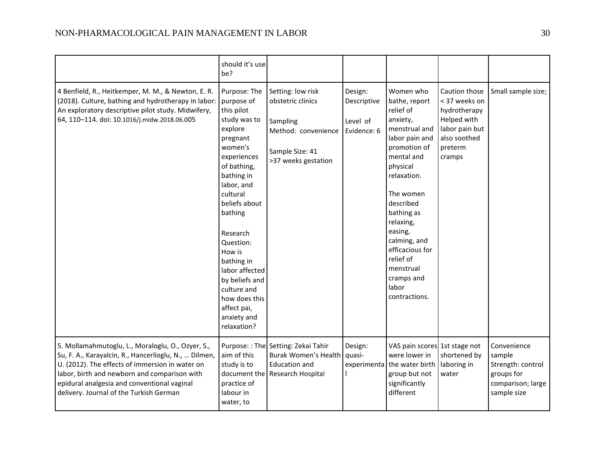|                                                                                                                                                                                                                                                                                                         | should it's use<br>be?                                                                                                                                                                                                                                                                                                                                         |                                                                                                                     |                                                   |                                                                                                                                                                                                                                                                                                                      |                                                                                                                      |                                                                                              |
|---------------------------------------------------------------------------------------------------------------------------------------------------------------------------------------------------------------------------------------------------------------------------------------------------------|----------------------------------------------------------------------------------------------------------------------------------------------------------------------------------------------------------------------------------------------------------------------------------------------------------------------------------------------------------------|---------------------------------------------------------------------------------------------------------------------|---------------------------------------------------|----------------------------------------------------------------------------------------------------------------------------------------------------------------------------------------------------------------------------------------------------------------------------------------------------------------------|----------------------------------------------------------------------------------------------------------------------|----------------------------------------------------------------------------------------------|
| 4 Benfield, R., Heitkemper, M. M., & Newton, E. R.<br>(2018). Culture, bathing and hydrotherapy in labor:<br>An exploratory descriptive pilot study. Midwifery,<br>64, 110-114. doi: 10.1016/j.midw.2018.06.005                                                                                         | Purpose: The<br>purpose of<br>this pilot<br>study was to<br>explore<br>pregnant<br>women's<br>experiences<br>of bathing,<br>bathing in<br>labor, and<br>cultural<br>beliefs about<br>bathing<br>Research<br>Question:<br>How is<br>bathing in<br>labor affected<br>by beliefs and<br>culture and<br>how does this<br>affect pai,<br>anxiety and<br>relaxation? | Setting: low risk<br>obstetric clinics<br>Sampling<br>Method: convenience<br>Sample Size: 41<br>>37 weeks gestation | Design:<br>Descriptive<br>Level of<br>Evidence: 6 | Women who<br>bathe, report<br>relief of<br>anxiety,<br>menstrual and<br>labor pain and<br>promotion of<br>mental and<br>physical<br>relaxation.<br>The women<br>described<br>bathing as<br>relaxing,<br>easing,<br>calming, and<br>efficacious for<br>relief of<br>menstrual<br>cramps and<br>labor<br>contractions. | Caution those<br>< 37 weeks on<br>hydrotherapy<br>Helped with<br>labor pain but<br>also soothed<br>preterm<br>cramps | Small sample size;                                                                           |
| 5. Mollamahmutoglu, L., Moraloglu, O., Ozyer, S.,<br>Su, F. A., Karayalcin, R., Hancerlioglu, N.,  Dilmen,<br>U. (2012). The effects of immersion in water on<br>labor, birth and newborn and comparison with<br>epidural analgesia and conventional vaginal<br>delivery. Journal of the Turkish German | aim of this<br>study is to<br>document the<br>practice of<br>labour in<br>water, to                                                                                                                                                                                                                                                                            | Purpose:: The Setting: Zekai Tahir<br>Burak Women's Health<br><b>Education and</b><br>Research Hospital             | Design:<br>quasi-<br>experimenta                  | VAS pain scores 1st stage not<br>were lower in<br>the water birth<br>group but not<br>significantly<br>different                                                                                                                                                                                                     | shortened by<br>laboring in<br>water                                                                                 | Convenience<br>sample<br>Strength: control<br>groups for<br>comparison; large<br>sample size |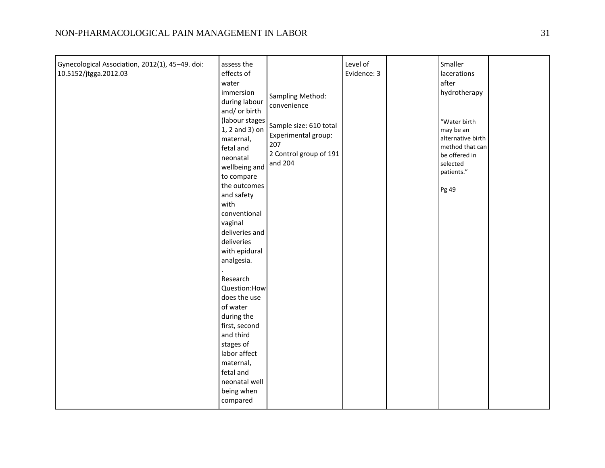| neonatal well<br>being when<br>compared | Gynecological Association, 2012(1), 45-49. doi:<br>10.5152/jtgga.2012.03 | assess the<br>effects of<br>water<br>immersion<br>during labour<br>and/ or birth<br>(labour stages<br>1, 2 and 3) on<br>maternal,<br>fetal and<br>neonatal<br>wellbeing and<br>to compare<br>the outcomes<br>and safety<br>with<br>conventional<br>vaginal<br>deliveries and<br>deliveries<br>with epidural<br>analgesia.<br>Research<br>Question:How<br>does the use<br>of water<br>during the<br>first, second<br>and third<br>stages of<br>labor affect<br>maternal,<br>fetal and | Sampling Method:<br>convenience<br>Sample size: 610 total<br>Experimental group:<br>207<br>2 Control group of 191<br>and 204 | Level of<br>Evidence: 3 |  | Smaller<br>lacerations<br>after<br>hydrotherapy<br>"Water birth<br>may be an<br>alternative birth<br>method that can<br>be offered in<br>selected<br>patients."<br>Pg 49 |  |
|-----------------------------------------|--------------------------------------------------------------------------|--------------------------------------------------------------------------------------------------------------------------------------------------------------------------------------------------------------------------------------------------------------------------------------------------------------------------------------------------------------------------------------------------------------------------------------------------------------------------------------|------------------------------------------------------------------------------------------------------------------------------|-------------------------|--|--------------------------------------------------------------------------------------------------------------------------------------------------------------------------|--|
|-----------------------------------------|--------------------------------------------------------------------------|--------------------------------------------------------------------------------------------------------------------------------------------------------------------------------------------------------------------------------------------------------------------------------------------------------------------------------------------------------------------------------------------------------------------------------------------------------------------------------------|------------------------------------------------------------------------------------------------------------------------------|-------------------------|--|--------------------------------------------------------------------------------------------------------------------------------------------------------------------------|--|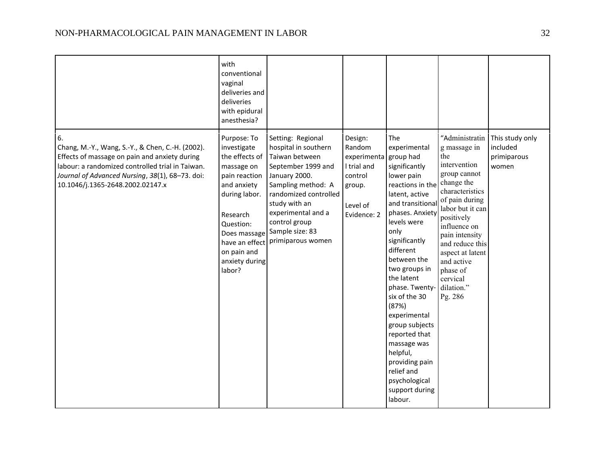|                                                                                                                                                                                                                                                    | with<br>conventional<br>vaginal<br>deliveries and<br>deliveries<br>with epidural<br>anesthesia?                                                                                                 |                                                                                                                                                                                                                                                                  |                                                                                                 |                                                                                                                                                                                                                                                                                                                                                                                                                                                         |                                                                                                                                                                                                                                                                                                    |                                                     |
|----------------------------------------------------------------------------------------------------------------------------------------------------------------------------------------------------------------------------------------------------|-------------------------------------------------------------------------------------------------------------------------------------------------------------------------------------------------|------------------------------------------------------------------------------------------------------------------------------------------------------------------------------------------------------------------------------------------------------------------|-------------------------------------------------------------------------------------------------|---------------------------------------------------------------------------------------------------------------------------------------------------------------------------------------------------------------------------------------------------------------------------------------------------------------------------------------------------------------------------------------------------------------------------------------------------------|----------------------------------------------------------------------------------------------------------------------------------------------------------------------------------------------------------------------------------------------------------------------------------------------------|-----------------------------------------------------|
| 6.<br>Chang, M.-Y., Wang, S.-Y., & Chen, C.-H. (2002).<br>Effects of massage on pain and anxiety during<br>labour: a randomized controlled trial in Taiwan.<br>Journal of Advanced Nursing, 38(1), 68-73. doi:<br>10.1046/j.1365-2648.2002.02147.x | Purpose: To<br>investigate<br>the effects of<br>massage on<br>pain reaction<br>and anxiety<br>during labor.<br>Research<br>Question:<br>Does massage<br>on pain and<br>anxiety during<br>labor? | Setting: Regional<br>hospital in southern<br>Taiwan between<br>September 1999 and<br>January 2000.<br>Sampling method: A<br>randomized controlled<br>study with an<br>experimental and a<br>control group<br>Sample size: 83<br>have an effect primiparous women | Design:<br>Random<br>experimenta<br>I trial and<br>control<br>group.<br>Level of<br>Evidence: 2 | The<br>experimental<br>group had<br>significantly<br>lower pain<br>reactions in the<br>latent, active<br>and transitional<br>phases. Anxiety<br>levels were<br>only<br>significantly<br>different<br>between the<br>two groups in<br>the latent<br>phase. Twenty-<br>six of the 30<br>(87%)<br>experimental<br>group subjects<br>reported that<br>massage was<br>helpful,<br>providing pain<br>relief and<br>psychological<br>support during<br>labour. | "Administratin<br>g massage in<br>the<br>intervention<br>group cannot<br>change the<br>characteristics<br>of pain during<br>labor but it can<br>positively<br>influence on<br>pain intensity<br>and reduce this<br>aspect at latent<br>and active<br>phase of<br>cervical<br>dilation."<br>Pg. 286 | This study only<br>included<br>primiparous<br>women |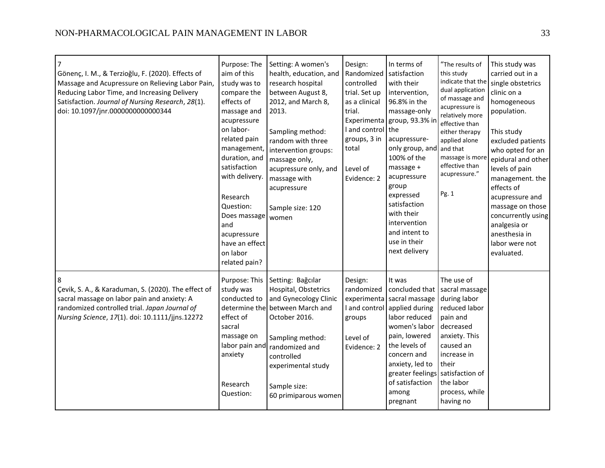| Gönenç, I. M., & Terzioğlu, F. (2020). Effects of<br>Massage and Acupressure on Relieving Labor Pain,<br>Reducing Labor Time, and Increasing Delivery<br>Satisfaction. Journal of Nursing Research, 28(1).<br>doi: 10.1097/jnr.0000000000000344 | Purpose: The<br>aim of this<br>study was to<br>compare the<br>effects of<br>massage and<br>acupressure<br>on labor-<br>related pain<br>management,<br>duration, and<br>satisfaction<br>with delivery.<br>Research<br>Question:<br>Does massage<br>and<br>acupressure<br>have an effect<br>on labor<br>related pain? | Setting: A women's<br>health, education, and<br>research hospital<br>between August 8,<br>2012, and March 8,<br>2013.<br>Sampling method:<br>random with three<br>intervention groups:<br>massage only,<br>acupressure only, and<br>massage with<br>acupressure<br>Sample size: 120<br>women | Design:<br>Randomized<br>controlled<br>trial. Set up<br>as a clinical<br>trial.<br>I and control the<br>groups, 3 in<br>total<br>Level of<br>Evidence: 2 | In terms of<br>satisfaction<br>with their<br>intervention,<br>96.8% in the<br>massage-only<br>Experimenta group, 93.3% in<br>acupressure-<br>only group, and and that<br>100% of the<br>massage +<br>acupressure<br>group<br>expressed<br>satisfaction<br>with their<br>intervention<br>and intent to<br>use in their<br>next delivery | "The results of<br>this study<br>indicate that the<br>dual application<br>of massage and<br>acupressure is<br>relatively more<br>effective than<br>either therapy<br>applied alone<br>massage is more<br>effective than<br>acupressure."<br>Pg. 1 | This study was<br>carried out in a<br>single obstetrics<br>clinic on a<br>homogeneous<br>population.<br>This study<br>excluded patients<br>who opted for an<br>epidural and other<br>levels of pain<br>management. the<br>effects of<br>acupressure and<br>massage on those<br>concurrently using<br>analgesia or<br>anesthesia in<br>labor were not<br>evaluated. |
|-------------------------------------------------------------------------------------------------------------------------------------------------------------------------------------------------------------------------------------------------|---------------------------------------------------------------------------------------------------------------------------------------------------------------------------------------------------------------------------------------------------------------------------------------------------------------------|----------------------------------------------------------------------------------------------------------------------------------------------------------------------------------------------------------------------------------------------------------------------------------------------|----------------------------------------------------------------------------------------------------------------------------------------------------------|----------------------------------------------------------------------------------------------------------------------------------------------------------------------------------------------------------------------------------------------------------------------------------------------------------------------------------------|---------------------------------------------------------------------------------------------------------------------------------------------------------------------------------------------------------------------------------------------------|--------------------------------------------------------------------------------------------------------------------------------------------------------------------------------------------------------------------------------------------------------------------------------------------------------------------------------------------------------------------|
| 8<br>Çevik, S. A., & Karaduman, S. (2020). The effect of<br>sacral massage on labor pain and anxiety: A<br>randomized controlled trial. Japan Journal of<br>Nursing Science, 17(1). doi: 10.1111/jjns.12272                                     | Purpose: This<br>study was<br>conducted to<br>determine the<br>effect of<br>sacral<br>massage on<br>labor pain and<br>anxiety<br>Research<br>Question:                                                                                                                                                              | Setting: Bağcılar<br>Hospital, Obstetrics<br>and Gynecology Clinic<br>between March and<br>October 2016.<br>Sampling method:<br>randomized and<br>controlled<br>experimental study<br>Sample size:<br>60 primiparous women                                                                   | Design:<br>randomized<br>experimenta<br>I and control<br>groups<br>Level of<br>Evidence: 2                                                               | It was<br>sacral massage<br>applied during<br>labor reduced<br>women's labor<br>pain, lowered<br>the levels of<br>concern and<br>anxiety, led to<br>greater feelings satisfaction of<br>of satisfaction<br>among<br>pregnant                                                                                                           | The use of<br>concluded that sacral massage<br>during labor<br>reduced labor<br>pain and<br>decreased<br>anxiety. This<br>caused an<br>increase in<br>their<br>the labor<br>process, while<br>having no                                           |                                                                                                                                                                                                                                                                                                                                                                    |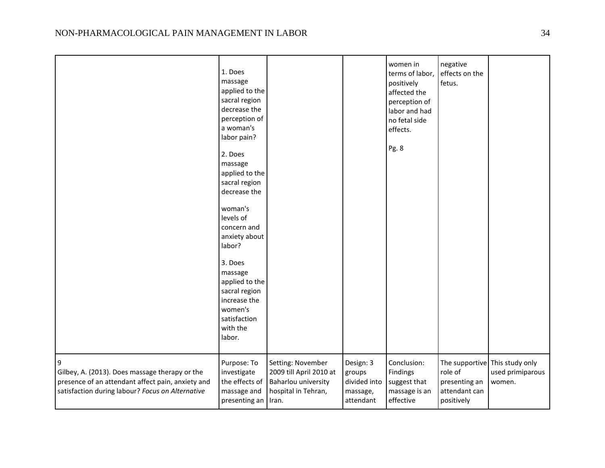|                                                                                                                                                              | 1. Does<br>massage<br>applied to the<br>sacral region<br>decrease the<br>perception of<br>a woman's<br>labor pain?<br>2. Does<br>massage<br>applied to the<br>sacral region<br>decrease the<br>woman's<br>levels of<br>concern and<br>anxiety about<br>labor?<br>3. Does<br>massage<br>applied to the<br>sacral region<br>increase the<br>women's<br>satisfaction<br>with the<br>labor. |                                                                                                     |                                                              | women in<br>terms of labor,<br>positively<br>affected the<br>perception of<br>labor and had<br>no fetal side<br>effects.<br>Pg. 8 | negative<br>effects on the<br>fetus.                    |                                                              |
|--------------------------------------------------------------------------------------------------------------------------------------------------------------|-----------------------------------------------------------------------------------------------------------------------------------------------------------------------------------------------------------------------------------------------------------------------------------------------------------------------------------------------------------------------------------------|-----------------------------------------------------------------------------------------------------|--------------------------------------------------------------|-----------------------------------------------------------------------------------------------------------------------------------|---------------------------------------------------------|--------------------------------------------------------------|
| 9<br>Gilbey, A. (2013). Does massage therapy or the<br>presence of an attendant affect pain, anxiety and<br>satisfaction during labour? Focus on Alternative | Purpose: To<br>investigate<br>the effects of<br>massage and<br>presenting an                                                                                                                                                                                                                                                                                                            | Setting: November<br>2009 till April 2010 at<br>Baharlou university<br>hospital in Tehran,<br>Iran. | Design: 3<br>groups<br>divided into<br>massage,<br>attendant | Conclusion:<br>Findings<br>suggest that<br>massage is an<br>effective                                                             | role of<br>presenting an<br>attendant can<br>positively | The supportive This study only<br>used primiparous<br>women. |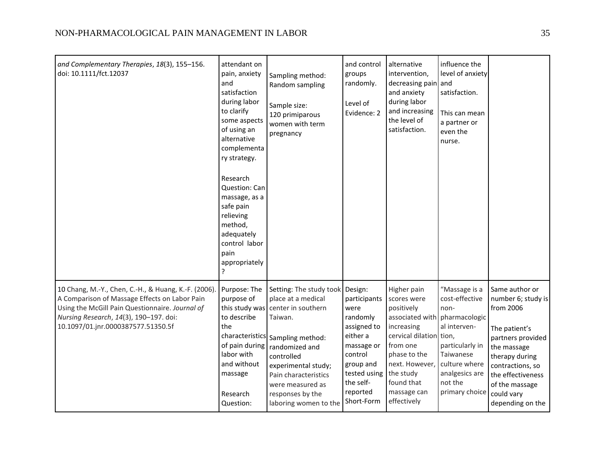| and Complementary Therapies, 18(3), 155-156.<br>doi: 10.1111/fct.12037                                                                                                                                                                   | attendant on<br>pain, anxiety<br>and<br>satisfaction<br>during labor<br>to clarify<br>some aspects<br>of using an<br>alternative<br>complementa<br>ry strategy.<br>Research<br>Question: Can | Sampling method:<br>Random sampling<br>Sample size:<br>120 primiparous<br>women with term<br>pregnancy                                                                                                                                                                     | and control<br>groups<br>randomly.<br>Level of<br>Evidence: 2                                                                                            | alternative<br>intervention,<br>decreasing pain and<br>and anxiety<br>during labor<br>and increasing<br>the level of<br>satisfaction.                                                                                     | influence the<br>level of anxiety<br>satisfaction.<br>This can mean<br>a partner or<br>even the<br>nurse.                                               |                                                                                                                                                                                                                       |
|------------------------------------------------------------------------------------------------------------------------------------------------------------------------------------------------------------------------------------------|----------------------------------------------------------------------------------------------------------------------------------------------------------------------------------------------|----------------------------------------------------------------------------------------------------------------------------------------------------------------------------------------------------------------------------------------------------------------------------|----------------------------------------------------------------------------------------------------------------------------------------------------------|---------------------------------------------------------------------------------------------------------------------------------------------------------------------------------------------------------------------------|---------------------------------------------------------------------------------------------------------------------------------------------------------|-----------------------------------------------------------------------------------------------------------------------------------------------------------------------------------------------------------------------|
|                                                                                                                                                                                                                                          | massage, as a<br>safe pain<br>relieving<br>method,<br>adequately<br>control labor<br>pain<br>appropriately<br>?                                                                              |                                                                                                                                                                                                                                                                            |                                                                                                                                                          |                                                                                                                                                                                                                           |                                                                                                                                                         |                                                                                                                                                                                                                       |
| 10 Chang, M.-Y., Chen, C.-H., & Huang, K.-F. (2006).<br>A Comparison of Massage Effects on Labor Pain<br>Using the McGill Pain Questionnaire. Journal of<br>Nursing Research, 14(3), 190-197. doi:<br>10.1097/01.jnr.0000387577.51350.5f | Purpose: The<br>purpose of<br>this study was<br>to describe<br>the<br>of pain during<br>labor with<br>and without<br>massage<br>Research<br>Question:                                        | Setting: The study took Design:<br>place at a medical<br>center in southern<br>Taiwan.<br>characteristics Sampling method:<br>randomized and<br>controlled<br>experimental study;<br>Pain characteristics<br>were measured as<br>responses by the<br>laboring women to the | participants<br>were<br>randomly<br>assigned to<br>either a<br>massage or<br>control<br>group and<br>tested using<br>the self-<br>reported<br>Short-Form | Higher pain<br>scores were<br>positively<br>associated with pharmacologic<br>increasing<br>cervical dilation tion,<br>from one<br>phase to the<br>next. However,<br>the study<br>found that<br>massage can<br>effectively | "Massage is a<br>cost-effective<br>non-<br>al interven-<br>particularly in<br>Taiwanese<br>culture where<br>analgesics are<br>not the<br>primary choice | Same author or<br>number 6; study is<br>from 2006<br>The patient's<br>partners provided<br>the massage<br>therapy during<br>contractions, so<br>the effectiveness<br>of the massage<br>could vary<br>depending on the |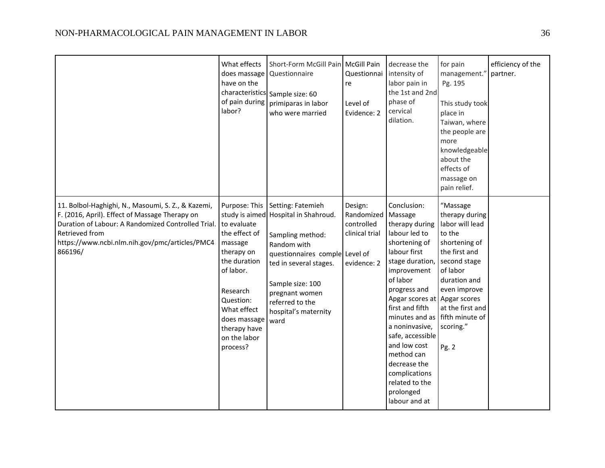|                                                                                                                                                                                                                                           | What effects<br>does massage<br>have on the<br>of pain during<br>labor?                                                                                                                                 | Short-Form McGill Pain McGill Pain<br>Questionnaire<br>characteristics Sample size: 60<br>primiparas in labor<br>who were married                                                                                                                 | Questionnai<br>re<br>Level of<br>Evidence: 2                         | decrease the<br>intensity of<br>labor pain in<br>the 1st and 2nd<br>phase of<br>cervical<br>dilation.                                                                                                                                                                                                                                                                 | for pain<br>management."<br>Pg. 195<br>This study took<br>place in<br>Taiwan, where<br>the people are<br>more<br>knowledgeable<br>about the<br>effects of<br>massage on<br>pain relief.                                            | efficiency of the<br>partner. |
|-------------------------------------------------------------------------------------------------------------------------------------------------------------------------------------------------------------------------------------------|---------------------------------------------------------------------------------------------------------------------------------------------------------------------------------------------------------|---------------------------------------------------------------------------------------------------------------------------------------------------------------------------------------------------------------------------------------------------|----------------------------------------------------------------------|-----------------------------------------------------------------------------------------------------------------------------------------------------------------------------------------------------------------------------------------------------------------------------------------------------------------------------------------------------------------------|------------------------------------------------------------------------------------------------------------------------------------------------------------------------------------------------------------------------------------|-------------------------------|
| 11. Bolbol-Haghighi, N., Masoumi, S. Z., & Kazemi,<br>F. (2016, April). Effect of Massage Therapy on<br>Duration of Labour: A Randomized Controlled Trial.<br>Retrieved from<br>https://www.ncbi.nlm.nih.gov/pmc/articles/PMC4<br>866196/ | Purpose: This<br>to evaluate<br>the effect of<br>massage<br>therapy on<br>the duration<br>of labor.<br>Research<br>Question:<br>What effect<br>does massage<br>therapy have<br>on the labor<br>process? | Setting: Fatemieh<br>study is aimed Hospital in Shahroud.<br>Sampling method:<br>Random with<br>questionnaires comple Level of<br>ted in several stages.<br>Sample size: 100<br>pregnant women<br>referred to the<br>hospital's maternity<br>ward | Design:<br>Randomized<br>controlled<br>clinical trial<br>evidence: 2 | Conclusion:<br>Massage<br>therapy during<br>labour led to<br>shortening of<br>labour first<br>stage duration,<br>improvement<br>of labor<br>progress and<br>Apgar scores at<br>first and fifth<br>minutes and as<br>a noninvasive,<br>safe, accessible<br>and low cost<br>method can<br>decrease the<br>complications<br>related to the<br>prolonged<br>labour and at | "Massage<br>therapy during<br>labor will lead<br>to the<br>shortening of<br>the first and<br>second stage<br>of labor<br>duration and<br>even improve<br>Apgar scores<br>at the first and<br>fifth minute of<br>scoring."<br>Pg. 2 |                               |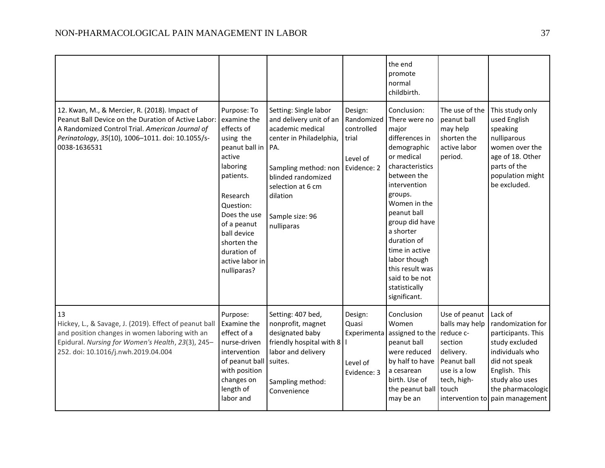|                                                                                                                                                                                                                             |                                                                                                                                                                                                                                                   |                                                                                                                                                                                                                        |                                                                         | the end<br>promote<br>normal<br>childbirth.                                                                                                                                                                                                                                                                                            |                                                                                        |                                                                                                                                                                                                      |
|-----------------------------------------------------------------------------------------------------------------------------------------------------------------------------------------------------------------------------|---------------------------------------------------------------------------------------------------------------------------------------------------------------------------------------------------------------------------------------------------|------------------------------------------------------------------------------------------------------------------------------------------------------------------------------------------------------------------------|-------------------------------------------------------------------------|----------------------------------------------------------------------------------------------------------------------------------------------------------------------------------------------------------------------------------------------------------------------------------------------------------------------------------------|----------------------------------------------------------------------------------------|------------------------------------------------------------------------------------------------------------------------------------------------------------------------------------------------------|
| 12. Kwan, M., & Mercier, R. (2018). Impact of<br>Peanut Ball Device on the Duration of Active Labor:<br>A Randomized Control Trial. American Journal of<br>Perinatology, 35(10), 1006-1011. doi: 10.1055/s-<br>0038-1636531 | Purpose: To<br>examine the<br>effects of<br>using the<br>peanut ball in<br>active<br>laboring<br>patients.<br>Research<br>Question:<br>Does the use<br>of a peanut<br>ball device<br>shorten the<br>duration of<br>active labor in<br>nulliparas? | Setting: Single labor<br>and delivery unit of an<br>academic medical<br>center in Philadelphia,<br>PA.<br>Sampling method: non<br>blinded randomized<br>selection at 6 cm<br>dilation<br>Sample size: 96<br>nulliparas | Design:<br>Randomized<br>controlled<br>trial<br>Level of<br>Evidence: 2 | Conclusion:<br>There were no<br>major<br>differences in<br>demographic<br>or medical<br>characteristics<br>between the<br>intervention<br>groups.<br>Women in the<br>peanut ball<br>group did have<br>a shorter<br>duration of<br>time in active<br>labor though<br>this result was<br>said to be not<br>statistically<br>significant. | The use of the<br>peanut ball<br>may help<br>shorten the<br>active labor<br>period.    | This study only<br>used English<br>speaking<br>nulliparous<br>women over the<br>age of 18. Other<br>parts of the<br>population might<br>be excluded.                                                 |
| 13<br>Hickey, L., & Savage, J. (2019). Effect of peanut ball<br>and position changes in women laboring with an<br>Epidural. Nursing for Women's Health, 23(3), 245-<br>252. doi: 10.1016/j.nwh.2019.04.004                  | Purpose:<br>Examine the<br>effect of a<br>nurse-driven<br>intervention<br>of peanut ball<br>with position<br>changes on<br>length of<br>labor and                                                                                                 | Setting: 407 bed,<br>nonprofit, magnet<br>designated baby<br>friendly hospital with 8   I<br>labor and delivery<br>suites.<br>Sampling method:<br>Convenience                                                          | Design:<br>Quasi<br>Experimenta<br>Level of<br>Evidence: 3              | Conclusion<br>Women<br>assigned to the reduce c-<br>peanut ball<br>were reduced<br>by half to have   Peanut ball<br>a cesarean<br>birth. Use of<br>the peanut ball touch<br>may be an                                                                                                                                                  | Use of peanut<br>balls may help<br>section<br>delivery.<br>use is a low<br>tech, high- | Lack of<br>randomization for<br>participants. This<br>study excluded<br>individuals who<br>did not speak<br>English. This<br>study also uses<br>the pharmacologic<br>intervention to pain management |

the control of the control of the control of the control of the control of the control of the control of the control of the control of the control of the control of the control of the control of the control of the control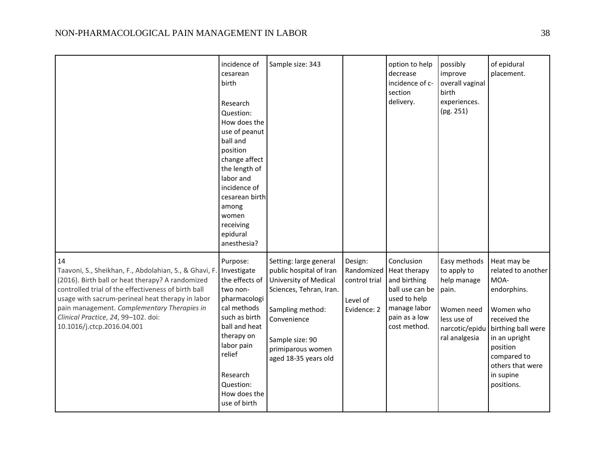|                                                                                                                                                                                                                                                                                                                                                 | incidence of<br>cesarean<br>birth<br>Research<br>Question:<br>How does the<br>use of peanut<br>ball and<br>position<br>change affect<br>the length of<br>labor and<br>incidence of<br>cesarean birth<br>among<br>women<br>receiving<br>epidural<br>anesthesia? | Sample size: 343                                                                                                                                                                                         |                                                                   | option to help<br>decrease<br>incidence of c-<br>section<br>delivery.                                                                | possibly<br>improve<br>overall vaginal<br>birth<br>experiences.<br>(pg. 251)                               | of epidural<br>placement.                                                                                                                                                                              |
|-------------------------------------------------------------------------------------------------------------------------------------------------------------------------------------------------------------------------------------------------------------------------------------------------------------------------------------------------|----------------------------------------------------------------------------------------------------------------------------------------------------------------------------------------------------------------------------------------------------------------|----------------------------------------------------------------------------------------------------------------------------------------------------------------------------------------------------------|-------------------------------------------------------------------|--------------------------------------------------------------------------------------------------------------------------------------|------------------------------------------------------------------------------------------------------------|--------------------------------------------------------------------------------------------------------------------------------------------------------------------------------------------------------|
| 14<br>Taavoni, S., Sheikhan, F., Abdolahian, S., & Ghavi, F.<br>(2016). Birth ball or heat therapy? A randomized<br>controlled trial of the effectiveness of birth ball<br>usage with sacrum-perineal heat therapy in labor<br>pain management. Complementary Therapies in<br>Clinical Practice, 24, 99-102. doi:<br>10.1016/j.ctcp.2016.04.001 | Purpose:<br>Investigate<br>the effects of<br>two non-<br>pharmacologi<br>cal methods<br>such as birth<br>ball and heat<br>therapy on<br>labor pain<br>relief<br>Research<br>Question:<br>How does the<br>use of birth                                          | Setting: large general<br>public hospital of Iran<br>University of Medical<br>Sciences, Tehran, Iran.<br>Sampling method:<br>Convenience<br>Sample size: 90<br>primiparous women<br>aged 18-35 years old | Design:<br>Randomized<br>control trial<br>Level of<br>Evidence: 2 | Conclusion<br>Heat therapy<br>and birthing<br>ball use can be pain.<br>used to help<br>manage labor<br>pain as a low<br>cost method. | Easy methods<br>to apply to<br>help manage<br>Women need<br>less use of<br>narcotic/epidu<br>ral analgesia | Heat may be<br>related to another<br>MOA-<br>endorphins.<br>Women who<br>received the<br>birthing ball were<br>in an upright<br>position<br>compared to<br>others that were<br>in supine<br>positions. |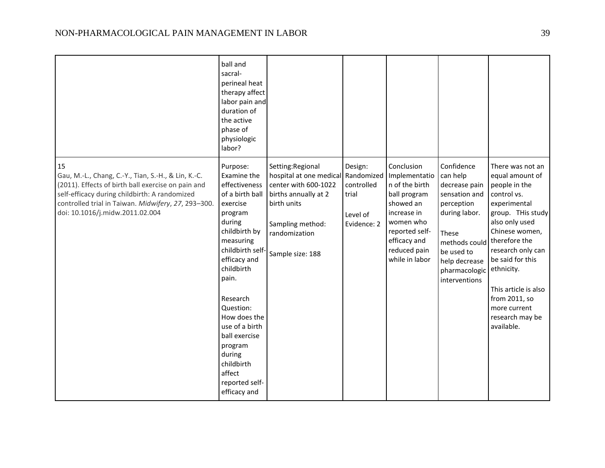|                                                                                                                                                                                                                                                            | ball and<br>sacral-<br>perineal heat<br>therapy affect<br>labor pain and<br>duration of<br>the active<br>phase of<br>physiologic<br>labor?                                                                                                                                                                                                       |                                                                                                                                                                                |                                                           |                                                                                                                                                                            |                                                                                                                                                                                    |                                                                                                                                                                                                                                                                                                                |
|------------------------------------------------------------------------------------------------------------------------------------------------------------------------------------------------------------------------------------------------------------|--------------------------------------------------------------------------------------------------------------------------------------------------------------------------------------------------------------------------------------------------------------------------------------------------------------------------------------------------|--------------------------------------------------------------------------------------------------------------------------------------------------------------------------------|-----------------------------------------------------------|----------------------------------------------------------------------------------------------------------------------------------------------------------------------------|------------------------------------------------------------------------------------------------------------------------------------------------------------------------------------|----------------------------------------------------------------------------------------------------------------------------------------------------------------------------------------------------------------------------------------------------------------------------------------------------------------|
| 15<br>Gau, M.-L., Chang, C.-Y., Tian, S.-H., & Lin, K.-C.<br>(2011). Effects of birth ball exercise on pain and<br>self-efficacy during childbirth: A randomized<br>controlled trial in Taiwan. Midwifery, 27, 293-300.<br>doi: 10.1016/j.midw.2011.02.004 | Purpose:<br>Examine the<br>effectiveness<br>of a birth ball<br>exercise<br>program<br>during<br>childbirth by<br>measuring<br>childbirth self-<br>efficacy and<br>childbirth<br>pain.<br>Research<br>Question:<br>How does the<br>use of a birth<br>ball exercise<br>program<br>during<br>childbirth<br>affect<br>reported self-<br>efficacy and | Setting:Regional<br>hospital at one medical Randomized<br>center with 600-1022<br>births annually at 2<br>birth units<br>Sampling method:<br>randomization<br>Sample size: 188 | Design:<br>controlled<br>trial<br>Level of<br>Evidence: 2 | Conclusion<br>Implementatio<br>n of the birth<br>ball program<br>showed an<br>increase in<br>women who<br>reported self-<br>efficacy and<br>reduced pain<br>while in labor | Confidence<br>can help<br>decrease pain<br>sensation and<br>perception<br>during labor.<br>These<br>methods could<br>be used to<br>help decrease<br>pharmacologic<br>interventions | There was not an<br>equal amount of<br>people in the<br>control vs.<br>experimental<br>group. THis study<br>also only used<br>Chinese women,<br>therefore the<br>research only can<br>be said for this<br>ethnicity.<br>This article is also<br>from 2011, so<br>more current<br>research may be<br>available. |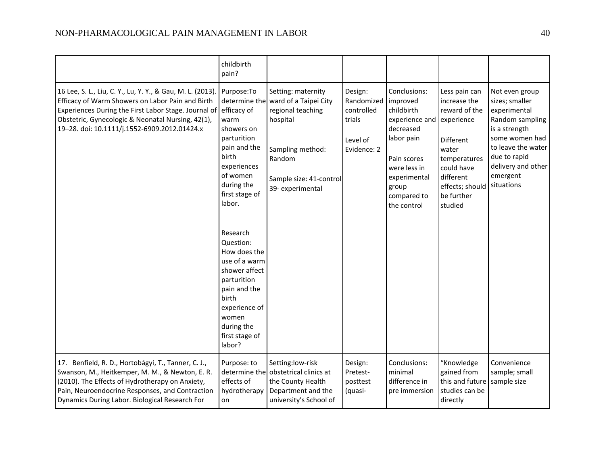|                                                                                                                                                                                                                                                                                         | childbirth<br>pain?                                                                                                                                                                                                                                                                                                                  |                                                                                                                                                                         |                                                                          |                                                                                                                                                                           |                                                                                                                                                                           |                                                                                                                                                                                              |
|-----------------------------------------------------------------------------------------------------------------------------------------------------------------------------------------------------------------------------------------------------------------------------------------|--------------------------------------------------------------------------------------------------------------------------------------------------------------------------------------------------------------------------------------------------------------------------------------------------------------------------------------|-------------------------------------------------------------------------------------------------------------------------------------------------------------------------|--------------------------------------------------------------------------|---------------------------------------------------------------------------------------------------------------------------------------------------------------------------|---------------------------------------------------------------------------------------------------------------------------------------------------------------------------|----------------------------------------------------------------------------------------------------------------------------------------------------------------------------------------------|
| 16 Lee, S. L., Liu, C. Y., Lu, Y. Y., & Gau, M. L. (2013).<br>Efficacy of Warm Showers on Labor Pain and Birth<br>Experiences During the First Labor Stage. Journal of efficacy of<br>Obstetric, Gynecologic & Neonatal Nursing, 42(1),<br>19-28. doi: 10.1111/j.1552-6909.2012.01424.x | Purpose:To<br>warm<br>showers on<br>parturition<br>pain and the<br>birth<br>experiences<br>of women<br>during the<br>first stage of<br>labor.<br>Research<br>Question:<br>How does the<br>use of a warm<br>shower affect<br>parturition<br>pain and the<br>birth<br>experience of<br>women<br>during the<br>first stage of<br>labor? | Setting: maternity<br>determine the ward of a Taipei City<br>regional teaching<br>hospital<br>Sampling method:<br>Random<br>Sample size: 41-control<br>39- experimental | Design:<br>Randomized<br>controlled<br>trials<br>Level of<br>Evidence: 2 | Conclusions:<br>improved<br>childbirth<br>experience and<br>decreased<br>labor pain<br>Pain scores<br>were less in<br>experimental<br>group<br>compared to<br>the control | Less pain can<br>increase the<br>reward of the<br>experience<br>Different<br>water<br>temperatures<br>could have<br>different<br>effects; should<br>be further<br>studied | Not even group<br>sizes; smaller<br>experimental<br>Random sampling<br>is a strength<br>some women had<br>to leave the water<br>due to rapid<br>delivery and other<br>emergent<br>situations |
| 17. Benfield, R. D., Hortobágyi, T., Tanner, C. J.,<br>Swanson, M., Heitkemper, M. M., & Newton, E. R.<br>(2010). The Effects of Hydrotherapy on Anxiety,<br>Pain, Neuroendocrine Responses, and Contraction<br>Dynamics During Labor. Biological Research For                          | Purpose: to<br>determine the<br>effects of<br>hydrotherapy<br>on                                                                                                                                                                                                                                                                     | Setting:low-risk<br>obstetrical clinics at<br>the County Health<br>Department and the<br>university's School of                                                         | Design:<br>Pretest-<br>posttest<br>(quasi-                               | Conclusions:<br>minimal<br>difference in<br>pre immersion                                                                                                                 | "Knowledge<br>gained from<br>this and future<br>studies can be<br>directly                                                                                                | Convenience<br>sample; small<br>sample size                                                                                                                                                  |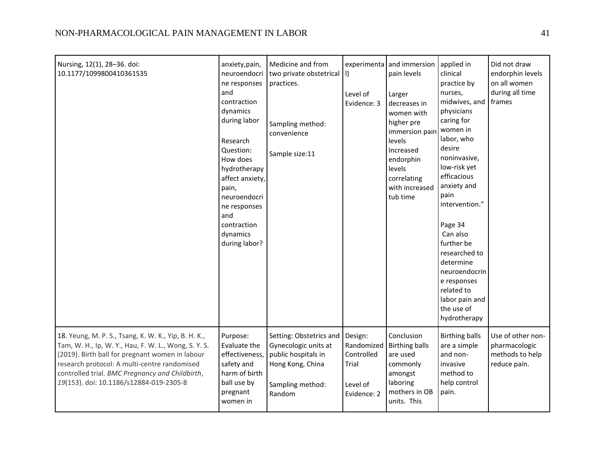| Nursing, 12(1), 28-36. doi:<br>10.1177/1099800410361535                                                                                                                                                                                                                                                       | anxiety, pain,<br>neuroendocri<br>ne responses<br>and<br>contraction<br>dynamics<br>during labor<br>Research<br>Question:<br>How does<br>hydrotherapy<br>affect anxiety,<br>pain,<br>neuroendocri<br>ne responses<br>and<br>contraction<br>dynamics<br>during labor? | Medicine and from<br>two private obstetrical   )<br>practices.<br>Sampling method:<br>convenience<br>Sample size:11      | Level of<br>Evidence: 3                                                 | experimenta and immersion<br>pain levels<br>Larger<br>decreases in<br>women with<br>higher pre<br>immersion pain<br>levels<br>Increased<br>endorphin<br>levels<br>correlating<br>with increased<br>tub time | applied in<br>clinical<br>practice by<br>nurses,<br>midwives, and<br>physicians<br>caring for<br>women in<br>labor, who<br>desire<br>noninvasive,<br>low-risk yet<br>efficacious<br>anxiety and<br>pain<br>intervention."<br>Page 34<br>Can also<br>further be<br>researched to<br>determine<br>neuroendocrin<br>e responses<br>related to<br>labor pain and<br>the use of<br>hydrotherapy | Did not draw<br>endorphin levels<br>on all women<br>during all time<br>frames |
|---------------------------------------------------------------------------------------------------------------------------------------------------------------------------------------------------------------------------------------------------------------------------------------------------------------|----------------------------------------------------------------------------------------------------------------------------------------------------------------------------------------------------------------------------------------------------------------------|--------------------------------------------------------------------------------------------------------------------------|-------------------------------------------------------------------------|-------------------------------------------------------------------------------------------------------------------------------------------------------------------------------------------------------------|--------------------------------------------------------------------------------------------------------------------------------------------------------------------------------------------------------------------------------------------------------------------------------------------------------------------------------------------------------------------------------------------|-------------------------------------------------------------------------------|
| 18. Yeung, M. P. S., Tsang, K. W. K., Yip, B. H. K.,<br>Tam, W. H., Ip, W. Y., Hau, F. W. L., Wong, S. Y. S.<br>(2019). Birth ball for pregnant women in labour<br>research protocol: A multi-centre randomised<br>controlled trial. BMC Pregnancy and Childbirth,<br>19(153). doi: 10.1186/s12884-019-2305-8 | Purpose:<br>Evaluate the<br>effectiveness,<br>safety and<br>harm of birth<br>ball use by<br>pregnant<br>women in                                                                                                                                                     | Setting: Obstetrics and<br>Gynecologic units at<br>public hospitals in<br>Hong Kong, China<br>Sampling method:<br>Random | Design:<br>Randomized<br>Controlled<br>Trial<br>Level of<br>Evidence: 2 | Conclusion<br><b>Birthing balls</b><br>are used<br>commonly<br>amongst<br>laboring<br>mothers in OB<br>units. This                                                                                          | <b>Birthing balls</b><br>are a simple<br>and non-<br>invasive<br>method to<br>help control<br>pain.                                                                                                                                                                                                                                                                                        | Use of other non-<br>pharmacologic<br>methods to help<br>reduce pain.         |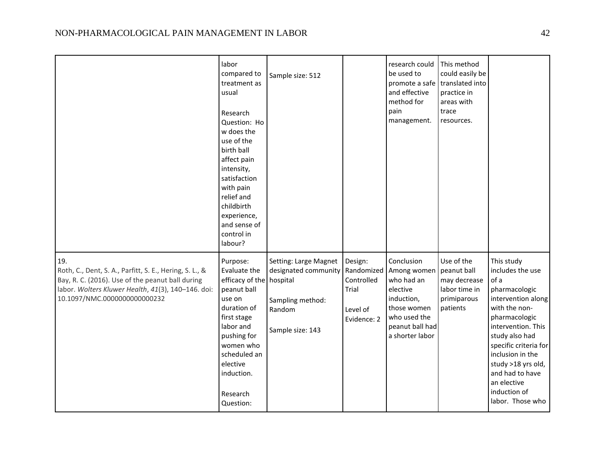|                                                                                                                                                                                                          | labor<br>compared to<br>treatment as<br>usual<br>Research<br>Question: Ho<br>w does the<br>use of the<br>birth ball<br>affect pain<br>intensity,<br>satisfaction<br>with pain<br>relief and<br>childbirth<br>experience,<br>and sense of<br>control in<br>labour? | Sample size: 512                                                                                |                                                                         | research could<br>be used to<br>promote a safe translated into<br>and effective<br>method for<br>pain<br>management.                                 | This method<br>could easily be<br>practice in<br>areas with<br>trace<br>resources. |                                                                                                                                                                                                                                                                                                  |
|----------------------------------------------------------------------------------------------------------------------------------------------------------------------------------------------------------|-------------------------------------------------------------------------------------------------------------------------------------------------------------------------------------------------------------------------------------------------------------------|-------------------------------------------------------------------------------------------------|-------------------------------------------------------------------------|------------------------------------------------------------------------------------------------------------------------------------------------------|------------------------------------------------------------------------------------|--------------------------------------------------------------------------------------------------------------------------------------------------------------------------------------------------------------------------------------------------------------------------------------------------|
| 19.<br>Roth, C., Dent, S. A., Parfitt, S. E., Hering, S. L., &<br>Bay, R. C. (2016). Use of the peanut ball during<br>labor. Wolters Kluwer Health, 41(3), 140-146. doi:<br>10.1097/NMC.0000000000000232 | Purpose:<br>Evaluate the<br>efficacy of the hospital<br>peanut ball<br>use on<br>duration of<br>first stage<br>labor and<br>pushing for<br>women who<br>scheduled an<br>elective<br>induction.<br>Research<br>Question:                                           | Setting: Large Magnet<br>designated community<br>Sampling method:<br>Random<br>Sample size: 143 | Design:<br>Randomized<br>Controlled<br>Trial<br>Level of<br>Evidence: 2 | Conclusion<br>Among women   peanut ball<br>who had an<br>elective<br>induction,<br>those women<br>who used the<br>peanut ball had<br>a shorter labor | Use of the<br>may decrease<br>labor time in<br>primiparous<br>patients             | This study<br>includes the use<br>of a<br>pharmacologic<br>intervention along<br>with the non-<br>pharmacologic<br>intervention. This<br>study also had<br>specific criteria for<br>inclusion in the<br>study >18 yrs old,<br>and had to have<br>an elective<br>induction of<br>labor. Those who |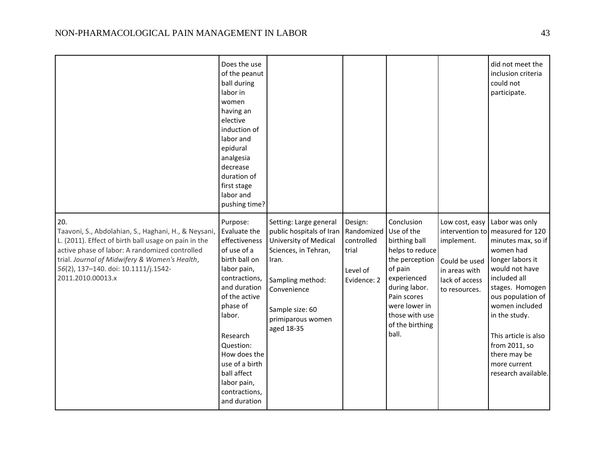|                                                                                                                                                                                                                                                                                     | Does the use<br>of the peanut<br>ball during<br>labor in<br>women<br>having an<br>elective<br>induction of<br>labor and<br>epidural<br>analgesia<br>decrease<br>duration of<br>first stage<br>labor and<br>pushing time?                                                                   |                                                                                                                                                                                                       |                                                                         |                                                                                                                                                                                                         |                                                                                                   | did not meet the<br>inclusion criteria<br>could not<br>participate.                                                                                                                                                                                                                                                    |
|-------------------------------------------------------------------------------------------------------------------------------------------------------------------------------------------------------------------------------------------------------------------------------------|--------------------------------------------------------------------------------------------------------------------------------------------------------------------------------------------------------------------------------------------------------------------------------------------|-------------------------------------------------------------------------------------------------------------------------------------------------------------------------------------------------------|-------------------------------------------------------------------------|---------------------------------------------------------------------------------------------------------------------------------------------------------------------------------------------------------|---------------------------------------------------------------------------------------------------|------------------------------------------------------------------------------------------------------------------------------------------------------------------------------------------------------------------------------------------------------------------------------------------------------------------------|
| 20.<br>Taavoni, S., Abdolahian, S., Haghani, H., & Neysani,<br>L. (2011). Effect of birth ball usage on pain in the<br>active phase of labor: A randomized controlled<br>trial. Journal of Midwifery & Women's Health,<br>56(2), 137-140. doi: 10.1111/j.1542-<br>2011.2010.00013.x | Purpose:<br>Evaluate the<br>effectiveness<br>of use of a<br>birth ball on<br>labor pain,<br>contractions,<br>and duration<br>of the active<br>phase of<br>labor.<br>Research<br>Question:<br>How does the<br>use of a birth<br>ball affect<br>labor pain,<br>contractions,<br>and duration | Setting: Large general<br>public hospitals of Iran<br>University of Medical<br>Sciences, in Tehran,<br>Iran.<br>Sampling method:<br>Convenience<br>Sample size: 60<br>primiparous women<br>aged 18-35 | Design:<br>Randomized<br>controlled<br>trial<br>Level of<br>Evidence: 2 | Conclusion<br>Use of the<br>birthing ball<br>helps to reduce<br>the perception<br>of pain<br>experienced<br>during labor.<br>Pain scores<br>were lower in<br>those with use<br>of the birthing<br>ball. | Low cost, easy<br>implement.<br>Could be used<br>in areas with<br>lack of access<br>to resources. | Labor was only<br>intervention to measured for 120<br>minutes max, so if<br>women had<br>longer labors it<br>would not have<br>included all<br>stages. Homogen<br>ous population of<br>women included<br>in the study.<br>This article is also<br>from 2011, so<br>there may be<br>more current<br>research available. |